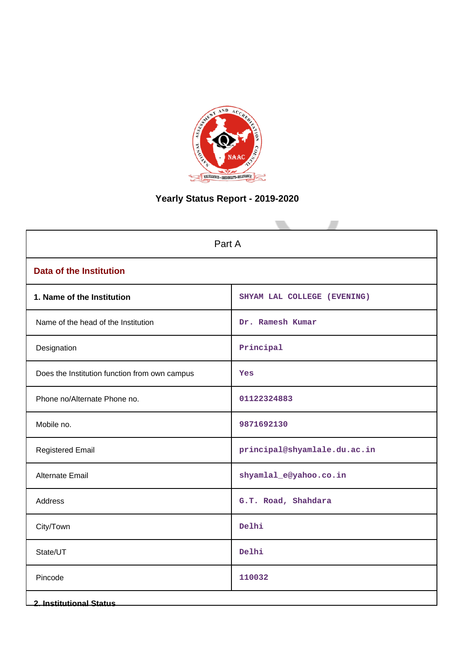

# **Yearly Status Report - 2019-2020**

| Part A                                        |                              |  |  |  |  |
|-----------------------------------------------|------------------------------|--|--|--|--|
| <b>Data of the Institution</b>                |                              |  |  |  |  |
| 1. Name of the Institution                    | SHYAM LAL COLLEGE (EVENING)  |  |  |  |  |
| Name of the head of the Institution           | Dr. Ramesh Kumar             |  |  |  |  |
| Designation                                   | Principal                    |  |  |  |  |
| Does the Institution function from own campus | Yes                          |  |  |  |  |
| Phone no/Alternate Phone no.                  | 01122324883                  |  |  |  |  |
| Mobile no.                                    | 9871692130                   |  |  |  |  |
| <b>Registered Email</b>                       | principal@shyamlale.du.ac.in |  |  |  |  |
| <b>Alternate Email</b>                        | shyamlal_e@yahoo.co.in       |  |  |  |  |
| Address                                       | G.T. Road, Shahdara          |  |  |  |  |
| City/Town                                     | Delhi                        |  |  |  |  |
| State/UT                                      | Delhi                        |  |  |  |  |
| Pincode                                       | 110032                       |  |  |  |  |
| <b>2. Institutional Status</b>                |                              |  |  |  |  |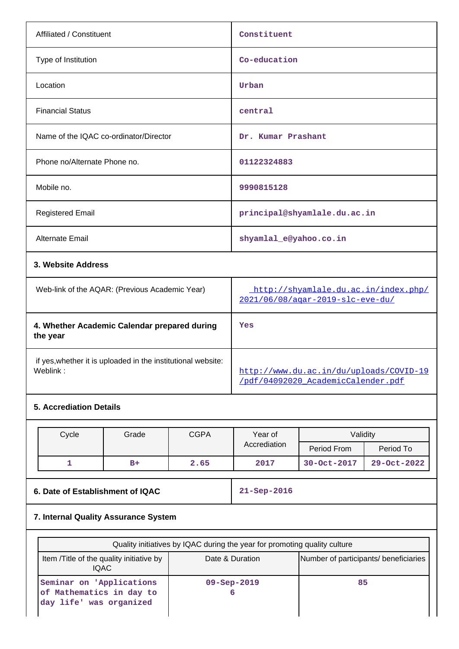| Affiliated / Constituent                       | Constituent                                                              |  |  |  |
|------------------------------------------------|--------------------------------------------------------------------------|--|--|--|
| Type of Institution                            | Co-education                                                             |  |  |  |
| Location                                       | Urban                                                                    |  |  |  |
| <b>Financial Status</b>                        | central                                                                  |  |  |  |
| Name of the IQAC co-ordinator/Director         | Dr. Kumar Prashant                                                       |  |  |  |
| Phone no/Alternate Phone no.                   | 01122324883                                                              |  |  |  |
| Mobile no.                                     | 9990815128                                                               |  |  |  |
| <b>Registered Email</b>                        | principal@shyamlale.du.ac.in                                             |  |  |  |
| <b>Alternate Email</b>                         | shyamlal_e@yahoo.co.in                                                   |  |  |  |
| 3. Website Address                             |                                                                          |  |  |  |
| Web-link of the AQAR: (Previous Academic Year) | http://shyamlale.du.ac.in/index.php/<br>2021/06/08/agar-2019-slc-eve-du/ |  |  |  |
| 4. Whether Academic Calendar prepared during   | Yes                                                                      |  |  |  |

 if yes,whether it is uploaded in the institutional website: [http://www.du.ac.in/du/uploads/COVID-19](http://www.du.ac.in/du/uploads/COVID-19/pdf/04092020_AcademicCalender.pdf)

# **5. Accrediation Details**

**the year**

| Cycle | Grade | <b>CGPA</b><br>Validity<br>Year of |              |             |             |
|-------|-------|------------------------------------|--------------|-------------|-------------|
|       |       |                                    | Accrediation | Period From | Period To   |
|       | $B+$  | 2.65                               | 2017         | 30-Oct-2017 | 29-Oct-2022 |

[/pdf/04092020\\_AcademicCalender.pdf](http://www.du.ac.in/du/uploads/COVID-19/pdf/04092020_AcademicCalender.pdf)

**6. Date of Establishment of IQAC 21-Sep-2016**

# **7. Internal Quality Assurance System**

| Quality initiatives by IQAC during the year for promoting quality culture       |                                       |    |  |  |  |  |  |
|---------------------------------------------------------------------------------|---------------------------------------|----|--|--|--|--|--|
| Item / Title of the quality initiative by<br>IQAC.                              | Number of participants/ beneficiaries |    |  |  |  |  |  |
| Seminar on 'Applications<br>of Mathematics in day to<br>day life' was organized | $09 -$ Sep $-2019$                    | 85 |  |  |  |  |  |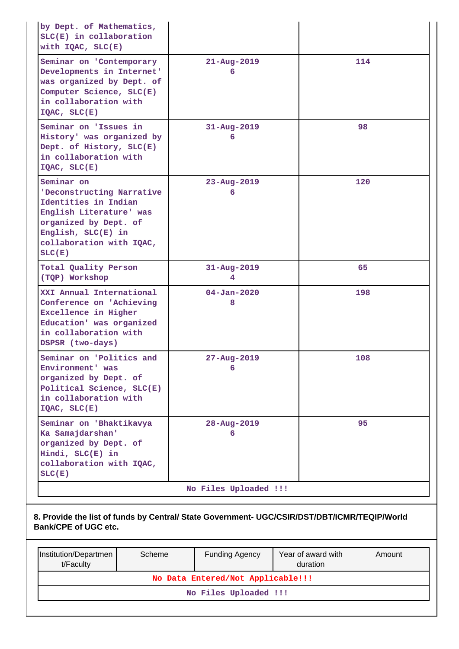| by Dept. of Mathematics,<br>$SLC(E)$ in collaboration<br>with $IQAC$ , $SLC(E)$                                                                                                 |                                   |                                |        |  |  |  |  |  |
|---------------------------------------------------------------------------------------------------------------------------------------------------------------------------------|-----------------------------------|--------------------------------|--------|--|--|--|--|--|
| Seminar on 'Contemporary<br>Developments in Internet'<br>was organized by Dept. of<br>Computer Science, SLC(E)<br>in collaboration with<br>$IQAC$ , $SLC(E)$                    | $21 - Aug - 2019$<br>6            |                                | 114    |  |  |  |  |  |
| Seminar on 'Issues in<br>History' was organized by<br>Dept. of History, SLC(E)<br>in collaboration with<br>$IQAC$ , $SLC(E)$                                                    | $31 - Aug - 2019$<br>6            |                                | 98     |  |  |  |  |  |
| Seminar on<br>'Deconstructing Narrative<br>Identities in Indian<br>English Literature' was<br>organized by Dept. of<br>English, SLC(E) in<br>collaboration with IQAC,<br>SLC(E) | $23 - Aug - 2019$<br>6            |                                | 120    |  |  |  |  |  |
| Total Quality Person<br>(TQP) Workshop                                                                                                                                          | $31 - Aug - 2019$<br>4            |                                | 65     |  |  |  |  |  |
| XXI Annual International<br>Conference on 'Achieving<br>Excellence in Higher<br>Education' was organized<br>in collaboration with<br>DSPSR (two-days)                           | $04 - Jan - 2020$<br>8            |                                | 198    |  |  |  |  |  |
| Seminar on 'Politics and<br>Environment' was<br>organized by Dept. of<br>Political Science, SLC(E)<br>in collaboration with<br>IOAC, SLC(E)                                     | $27 - Aug - 2019$<br>6            |                                | 108    |  |  |  |  |  |
| Seminar on 'Bhaktikavya<br>Ka Samajdarshan'<br>organized by Dept. of<br>Hindi, SLC(E) in<br>collaboration with IQAC,<br>SLC(E)                                                  | $28 - Aug - 2019$<br>6            |                                | 95     |  |  |  |  |  |
|                                                                                                                                                                                 | No Files Uploaded !!!             |                                |        |  |  |  |  |  |
| 8. Provide the list of funds by Central/ State Government- UGC/CSIR/DST/DBT/ICMR/TEQIP/World<br><b>Bank/CPE of UGC etc.</b>                                                     |                                   |                                |        |  |  |  |  |  |
| Institution/Departmen<br>Scheme<br>t/Faculty                                                                                                                                    | <b>Funding Agency</b>             | Year of award with<br>duration | Amount |  |  |  |  |  |
|                                                                                                                                                                                 | No Data Entered/Not Applicable!!! |                                |        |  |  |  |  |  |
|                                                                                                                                                                                 | No Files Uploaded !!!             |                                |        |  |  |  |  |  |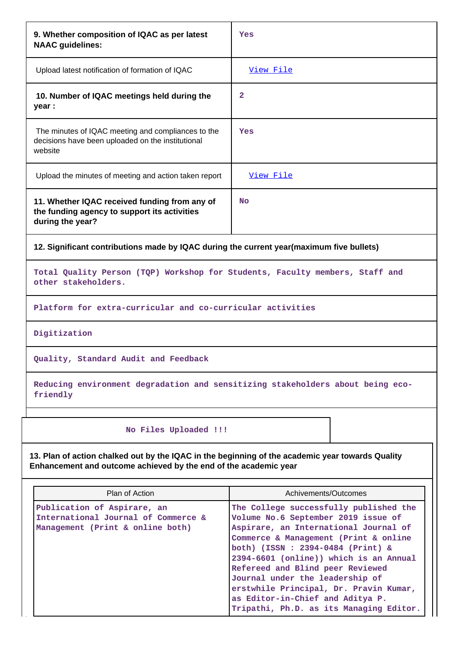| Yes                                                                                                                                                                                                                                                                                                                                                            |  |  |  |  |
|----------------------------------------------------------------------------------------------------------------------------------------------------------------------------------------------------------------------------------------------------------------------------------------------------------------------------------------------------------------|--|--|--|--|
| View File                                                                                                                                                                                                                                                                                                                                                      |  |  |  |  |
| 2                                                                                                                                                                                                                                                                                                                                                              |  |  |  |  |
| Yes                                                                                                                                                                                                                                                                                                                                                            |  |  |  |  |
| View File                                                                                                                                                                                                                                                                                                                                                      |  |  |  |  |
| <b>No</b>                                                                                                                                                                                                                                                                                                                                                      |  |  |  |  |
| 12. Significant contributions made by IQAC during the current year(maximum five bullets)                                                                                                                                                                                                                                                                       |  |  |  |  |
| Total Quality Person (TQP) Workshop for Students, Faculty members, Staff and                                                                                                                                                                                                                                                                                   |  |  |  |  |
| Platform for extra-curricular and co-curricular activities                                                                                                                                                                                                                                                                                                     |  |  |  |  |
|                                                                                                                                                                                                                                                                                                                                                                |  |  |  |  |
|                                                                                                                                                                                                                                                                                                                                                                |  |  |  |  |
| Reducing environment degradation and sensitizing stakeholders about being eco-                                                                                                                                                                                                                                                                                 |  |  |  |  |
|                                                                                                                                                                                                                                                                                                                                                                |  |  |  |  |
| 13. Plan of action chalked out by the IQAC in the beginning of the academic year towards Quality<br>Enhancement and outcome achieved by the end of the academic year                                                                                                                                                                                           |  |  |  |  |
| Achivements/Outcomes                                                                                                                                                                                                                                                                                                                                           |  |  |  |  |
| The College successfully published the<br>Volume No.6 September 2019 issue of<br>Aspirare, an International Journal of<br>Commerce & Management (Print & online<br>both) (ISSN: 2394-0484 (Print) &<br>2394-6601 (online)) which is an Annual<br>Refereed and Blind peer Reviewed<br>Journal under the leadership of<br>erstwhile Principal, Dr. Pravin Kumar, |  |  |  |  |
|                                                                                                                                                                                                                                                                                                                                                                |  |  |  |  |

**Tripathi, Ph.D. as its Managing Editor.**

 $\mathsf{I}$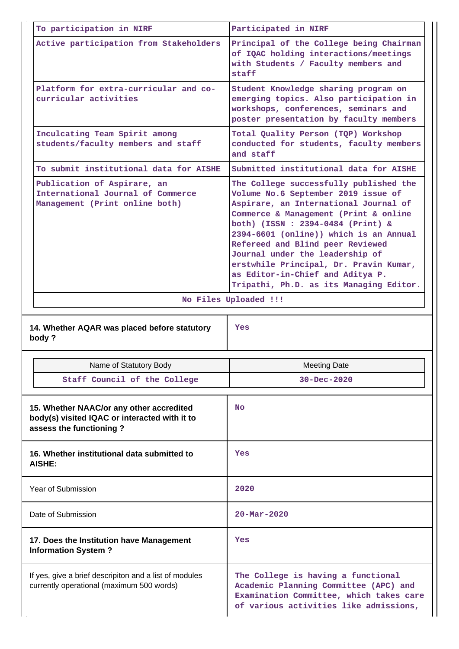| To participation in NIRF                                                                                             | Participated in NIRF                                                                                                                                                                                                                                                                                                                                                                                                                          |  |  |  |  |
|----------------------------------------------------------------------------------------------------------------------|-----------------------------------------------------------------------------------------------------------------------------------------------------------------------------------------------------------------------------------------------------------------------------------------------------------------------------------------------------------------------------------------------------------------------------------------------|--|--|--|--|
| Active participation from Stakeholders                                                                               | Principal of the College being Chairman<br>of IQAC holding interactions/meetings<br>with Students / Faculty members and<br>staff                                                                                                                                                                                                                                                                                                              |  |  |  |  |
| Platform for extra-curricular and co-<br>curricular activities                                                       | Student Knowledge sharing program on<br>emerging topics. Also participation in<br>workshops, conferences, seminars and<br>poster presentation by faculty members                                                                                                                                                                                                                                                                              |  |  |  |  |
| Inculcating Team Spirit among<br>students/faculty members and staff                                                  | Total Quality Person (TQP) Workshop<br>conducted for students, faculty members<br>and staff                                                                                                                                                                                                                                                                                                                                                   |  |  |  |  |
| To submit institutional data for AISHE                                                                               | Submitted institutional data for AISHE                                                                                                                                                                                                                                                                                                                                                                                                        |  |  |  |  |
| Publication of Aspirare, an<br>International Journal of Commerce<br>Management (Print online both)                   | The College successfully published the<br>Volume No.6 September 2019 issue of<br>Aspirare, an International Journal of<br>Commerce & Management (Print & online<br>both) (ISSN: 2394-0484 (Print) &<br>2394-6601 (online)) which is an Annual<br>Refereed and Blind peer Reviewed<br>Journal under the leadership of<br>erstwhile Principal, Dr. Pravin Kumar,<br>as Editor-in-Chief and Aditya P.<br>Tripathi, Ph.D. as its Managing Editor. |  |  |  |  |
|                                                                                                                      | No Files Uploaded !!!                                                                                                                                                                                                                                                                                                                                                                                                                         |  |  |  |  |
|                                                                                                                      |                                                                                                                                                                                                                                                                                                                                                                                                                                               |  |  |  |  |
| 14. Whether AQAR was placed before statutory<br>body?                                                                | <b>Yes</b>                                                                                                                                                                                                                                                                                                                                                                                                                                    |  |  |  |  |
| Name of Statutory Body                                                                                               | <b>Meeting Date</b>                                                                                                                                                                                                                                                                                                                                                                                                                           |  |  |  |  |
| Staff Council of the College                                                                                         | $30 - Dec - 2020$                                                                                                                                                                                                                                                                                                                                                                                                                             |  |  |  |  |
| 15. Whether NAAC/or any other accredited<br>body(s) visited IQAC or interacted with it to<br>assess the functioning? | <b>No</b>                                                                                                                                                                                                                                                                                                                                                                                                                                     |  |  |  |  |
| 16. Whether institutional data submitted to<br>AISHE:                                                                | Yes                                                                                                                                                                                                                                                                                                                                                                                                                                           |  |  |  |  |
| Year of Submission                                                                                                   | 2020                                                                                                                                                                                                                                                                                                                                                                                                                                          |  |  |  |  |
| Date of Submission                                                                                                   | $20 - \text{Mar} - 2020$                                                                                                                                                                                                                                                                                                                                                                                                                      |  |  |  |  |
| 17. Does the Institution have Management<br><b>Information System?</b>                                               | Yes                                                                                                                                                                                                                                                                                                                                                                                                                                           |  |  |  |  |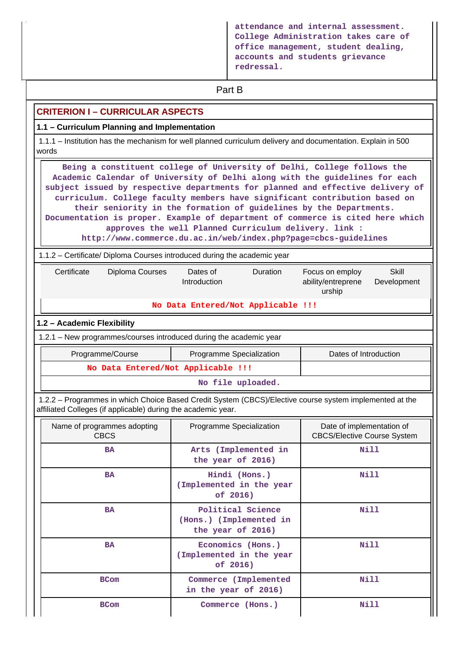**attendance and internal assessment. College Administration takes care of office management, student dealing, accounts and students grievance redressal.**

# **Part B**

#### **CRITERION I – CURRICULAR ASPECTS**

#### **1.1 – Curriculum Planning and Implementation**

 1.1.1 – Institution has the mechanism for well planned curriculum delivery and documentation. Explain in 500 words

 **Being a constituent college of University of Delhi, College follows the Academic Calendar of University of Delhi along with the guidelines for each subject issued by respective departments for planned and effective delivery of curriculum. College faculty members have significant contribution based on their seniority in the formation of guidelines by the Departments. Documentation is proper. Example of department of commerce is cited here which approves the well Planned Curriculum delivery. link :**

**http://www.commerce.du.ac.in/web/index.php?page=cbcs-guidelines**

1.1.2 – Certificate/ Diploma Courses introduced during the academic year

|                   | Certificate                                                                                                                                                              | Diploma Courses<br>Dates of<br>Introduction |                                    | Duration | Focus on employ<br>ability/entreprene<br>urship                 | Skill<br>Development |  |  |
|-------------------|--------------------------------------------------------------------------------------------------------------------------------------------------------------------------|---------------------------------------------|------------------------------------|----------|-----------------------------------------------------------------|----------------------|--|--|
|                   |                                                                                                                                                                          |                                             | No Data Entered/Not Applicable !!! |          |                                                                 |                      |  |  |
|                   | 1.2 - Academic Flexibility                                                                                                                                               |                                             |                                    |          |                                                                 |                      |  |  |
|                   | 1.2.1 – New programmes/courses introduced during the academic year                                                                                                       |                                             |                                    |          |                                                                 |                      |  |  |
|                   | Programme/Course                                                                                                                                                         | Dates of Introduction                       |                                    |          |                                                                 |                      |  |  |
|                   | No Data Entered/Not Applicable !!!                                                                                                                                       |                                             |                                    |          |                                                                 |                      |  |  |
| No file uploaded. |                                                                                                                                                                          |                                             |                                    |          |                                                                 |                      |  |  |
|                   | 1.2.2 – Programmes in which Choice Based Credit System (CBCS)/Elective course system implemented at the<br>affiliated Colleges (if applicable) during the academic year. |                                             |                                    |          |                                                                 |                      |  |  |
|                   | Name of programmes adopting<br><b>CBCS</b>                                                                                                                               |                                             | Programme Specialization           |          | Date of implementation of<br><b>CBCS/Elective Course System</b> |                      |  |  |
|                   | RA                                                                                                                                                                       |                                             | Arts (Implemented in               |          | Nill                                                            |                      |  |  |

| <b>BA</b>   | Arts (Implemented in<br>the year of 2016)                         | Nill |
|-------------|-------------------------------------------------------------------|------|
| <b>BA</b>   | Hindi (Hons.)<br>Implemented in the year<br>of 2016)              | Nill |
| <b>BA</b>   | Political Science<br>(Hons.) (Implemented in<br>the year of 2016) | Nill |
| <b>BA</b>   | Economics (Hons.)<br>Implemented in the year<br>of 2016)          | Nill |
| <b>BCom</b> | Commerce (Implemented<br>in the year of 2016)                     | Nill |
| <b>BCom</b> | Commerce (Hons.)                                                  | Nill |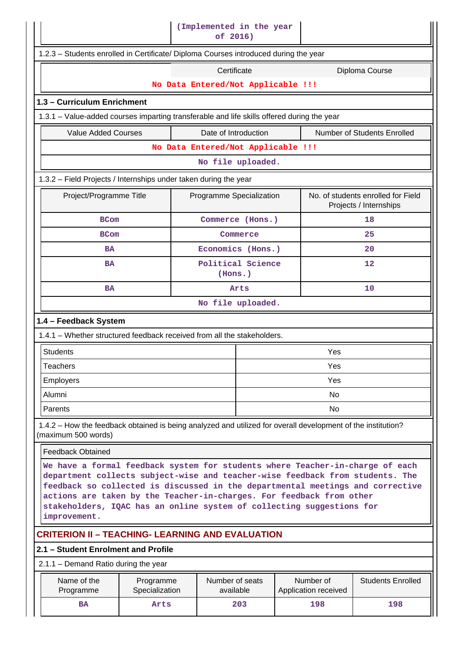| (Implemented in the year<br>of 2016)                                                                                                                                                                                                                                                                                                                                                                              |                                    |                                    |                              |  |                                   |                             |  |  |
|-------------------------------------------------------------------------------------------------------------------------------------------------------------------------------------------------------------------------------------------------------------------------------------------------------------------------------------------------------------------------------------------------------------------|------------------------------------|------------------------------------|------------------------------|--|-----------------------------------|-----------------------------|--|--|
| 1.2.3 - Students enrolled in Certificate/ Diploma Courses introduced during the year                                                                                                                                                                                                                                                                                                                              |                                    |                                    |                              |  |                                   |                             |  |  |
|                                                                                                                                                                                                                                                                                                                                                                                                                   |                                    |                                    | Certificate                  |  |                                   | Diploma Course              |  |  |
|                                                                                                                                                                                                                                                                                                                                                                                                                   |                                    | No Data Entered/Not Applicable !!! |                              |  |                                   |                             |  |  |
| 1.3 - Curriculum Enrichment                                                                                                                                                                                                                                                                                                                                                                                       |                                    |                                    |                              |  |                                   |                             |  |  |
| 1.3.1 – Value-added courses imparting transferable and life skills offered during the year                                                                                                                                                                                                                                                                                                                        |                                    |                                    |                              |  |                                   |                             |  |  |
| <b>Value Added Courses</b>                                                                                                                                                                                                                                                                                                                                                                                        |                                    |                                    | Date of Introduction         |  |                                   | Number of Students Enrolled |  |  |
|                                                                                                                                                                                                                                                                                                                                                                                                                   | No Data Entered/Not Applicable !!! |                                    |                              |  |                                   |                             |  |  |
|                                                                                                                                                                                                                                                                                                                                                                                                                   |                                    |                                    | No file uploaded.            |  |                                   |                             |  |  |
| 1.3.2 – Field Projects / Internships under taken during the year                                                                                                                                                                                                                                                                                                                                                  |                                    |                                    |                              |  |                                   |                             |  |  |
| No. of students enrolled for Field<br>Project/Programme Title<br>Programme Specialization<br>Projects / Internships                                                                                                                                                                                                                                                                                               |                                    |                                    |                              |  |                                   |                             |  |  |
| <b>BCom</b>                                                                                                                                                                                                                                                                                                                                                                                                       |                                    |                                    | Commerce (Hons.)             |  |                                   | 18                          |  |  |
| <b>BCom</b>                                                                                                                                                                                                                                                                                                                                                                                                       |                                    |                                    | Commerce                     |  |                                   | 25                          |  |  |
| <b>BA</b>                                                                                                                                                                                                                                                                                                                                                                                                         |                                    |                                    | Economics (Hons.)            |  |                                   | 20                          |  |  |
| <b>BA</b>                                                                                                                                                                                                                                                                                                                                                                                                         |                                    | Political Science<br>(Hons.)       |                              |  |                                   | 12                          |  |  |
| <b>BA</b>                                                                                                                                                                                                                                                                                                                                                                                                         |                                    |                                    | Arts                         |  |                                   | 10                          |  |  |
|                                                                                                                                                                                                                                                                                                                                                                                                                   |                                    |                                    | No file uploaded.            |  |                                   |                             |  |  |
| 1.4 - Feedback System                                                                                                                                                                                                                                                                                                                                                                                             |                                    |                                    |                              |  |                                   |                             |  |  |
| 1.4.1 - Whether structured feedback received from all the stakeholders.                                                                                                                                                                                                                                                                                                                                           |                                    |                                    |                              |  |                                   |                             |  |  |
| <b>Students</b>                                                                                                                                                                                                                                                                                                                                                                                                   |                                    |                                    |                              |  | Yes                               |                             |  |  |
| <b>Teachers</b>                                                                                                                                                                                                                                                                                                                                                                                                   |                                    |                                    |                              |  | Yes                               |                             |  |  |
| Employers                                                                                                                                                                                                                                                                                                                                                                                                         |                                    |                                    |                              |  | Yes                               |                             |  |  |
| Alumni                                                                                                                                                                                                                                                                                                                                                                                                            |                                    |                                    |                              |  | <b>No</b>                         |                             |  |  |
| Parents                                                                                                                                                                                                                                                                                                                                                                                                           |                                    |                                    |                              |  | <b>No</b>                         |                             |  |  |
| 1.4.2 – How the feedback obtained is being analyzed and utilized for overall development of the institution?<br>(maximum 500 words)                                                                                                                                                                                                                                                                               |                                    |                                    |                              |  |                                   |                             |  |  |
| <b>Feedback Obtained</b>                                                                                                                                                                                                                                                                                                                                                                                          |                                    |                                    |                              |  |                                   |                             |  |  |
| We have a formal feedback system for students where Teacher-in-charge of each<br>department collects subject-wise and teacher-wise feedback from students. The<br>feedback so collected is discussed in the departmental meetings and corrective<br>actions are taken by the Teacher-in-charges. For feedback from other<br>stakeholders, IQAC has an online system of collecting suggestions for<br>improvement. |                                    |                                    |                              |  |                                   |                             |  |  |
| <b>CRITERION II – TEACHING- LEARNING AND EVALUATION</b>                                                                                                                                                                                                                                                                                                                                                           |                                    |                                    |                              |  |                                   |                             |  |  |
| 2.1 – Student Enrolment and Profile                                                                                                                                                                                                                                                                                                                                                                               |                                    |                                    |                              |  |                                   |                             |  |  |
| 2.1.1 – Demand Ratio during the year                                                                                                                                                                                                                                                                                                                                                                              |                                    |                                    |                              |  |                                   |                             |  |  |
| Name of the<br>Programme                                                                                                                                                                                                                                                                                                                                                                                          | Programme<br>Specialization        |                                    | Number of seats<br>available |  | Number of<br>Application received | <b>Students Enrolled</b>    |  |  |
| BA                                                                                                                                                                                                                                                                                                                                                                                                                | Arts                               |                                    | 203                          |  | 198                               | 198                         |  |  |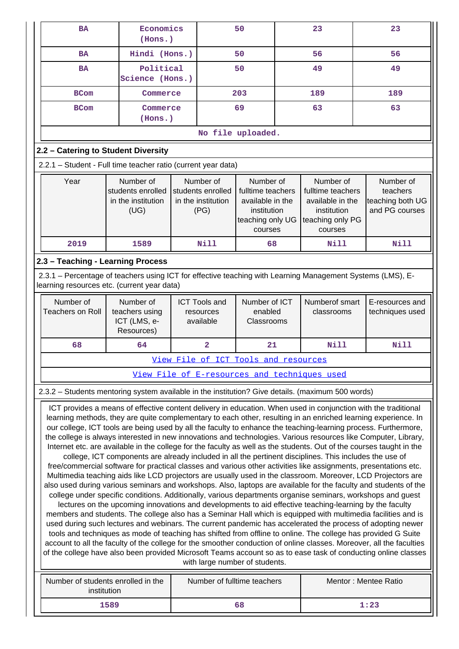| <b>BA</b>                                                                                                                                                                                                                              | Economics<br>(Hons.)                                                                                    |  |                         | 50                                   |  | 23                                           | 23                                                                                                                                                                                                                                      |
|----------------------------------------------------------------------------------------------------------------------------------------------------------------------------------------------------------------------------------------|---------------------------------------------------------------------------------------------------------|--|-------------------------|--------------------------------------|--|----------------------------------------------|-----------------------------------------------------------------------------------------------------------------------------------------------------------------------------------------------------------------------------------------|
| <b>BA</b>                                                                                                                                                                                                                              | Hindi (Hons.)                                                                                           |  |                         | 50                                   |  | 56                                           | 56                                                                                                                                                                                                                                      |
| <b>BA</b>                                                                                                                                                                                                                              | Political<br>Science (Hons.)                                                                            |  |                         | 50                                   |  | 49                                           | 49                                                                                                                                                                                                                                      |
| <b>BCom</b>                                                                                                                                                                                                                            | Commerce                                                                                                |  |                         | 203                                  |  | 189                                          | 189                                                                                                                                                                                                                                     |
| <b>BCom</b>                                                                                                                                                                                                                            | Commerce<br>(Hons.)                                                                                     |  |                         | 69                                   |  | 63                                           | 63                                                                                                                                                                                                                                      |
|                                                                                                                                                                                                                                        |                                                                                                         |  |                         | No file uploaded.                    |  |                                              |                                                                                                                                                                                                                                         |
| 2.2 - Catering to Student Diversity                                                                                                                                                                                                    |                                                                                                         |  |                         |                                      |  |                                              |                                                                                                                                                                                                                                         |
| 2.2.1 - Student - Full time teacher ratio (current year data)                                                                                                                                                                          |                                                                                                         |  |                         |                                      |  |                                              |                                                                                                                                                                                                                                         |
| Year                                                                                                                                                                                                                                   | Number of                                                                                               |  | Number of               | Number of                            |  | Number of                                    | Number of                                                                                                                                                                                                                               |
|                                                                                                                                                                                                                                        | students enrolled                                                                                       |  | students enrolled       | fulltime teachers                    |  | fulltime teachers                            | teachers                                                                                                                                                                                                                                |
|                                                                                                                                                                                                                                        | in the institution                                                                                      |  | in the institution      | available in the                     |  | available in the                             | teaching both UG                                                                                                                                                                                                                        |
|                                                                                                                                                                                                                                        | (UG)                                                                                                    |  | (PG)                    | institution<br>teaching only UG      |  | institution<br>teaching only PG              | and PG courses                                                                                                                                                                                                                          |
|                                                                                                                                                                                                                                        |                                                                                                         |  |                         | courses                              |  | courses                                      |                                                                                                                                                                                                                                         |
| 2019                                                                                                                                                                                                                                   | 1589                                                                                                    |  | <b>Nill</b>             | 68                                   |  | Nill                                         | <b>Nill</b>                                                                                                                                                                                                                             |
| 2.3 - Teaching - Learning Process                                                                                                                                                                                                      |                                                                                                         |  |                         |                                      |  |                                              |                                                                                                                                                                                                                                         |
| 2.3.1 - Percentage of teachers using ICT for effective teaching with Learning Management Systems (LMS), E-                                                                                                                             |                                                                                                         |  |                         |                                      |  |                                              |                                                                                                                                                                                                                                         |
| learning resources etc. (current year data)                                                                                                                                                                                            |                                                                                                         |  |                         |                                      |  |                                              |                                                                                                                                                                                                                                         |
| Number of                                                                                                                                                                                                                              | Number of                                                                                               |  | <b>ICT Tools and</b>    | Number of ICT                        |  | Numberof smart                               | E-resources and                                                                                                                                                                                                                         |
| <b>Teachers on Roll</b>                                                                                                                                                                                                                | teachers using                                                                                          |  | resources               | enabled                              |  | classrooms                                   | techniques used                                                                                                                                                                                                                         |
|                                                                                                                                                                                                                                        | ICT (LMS, e-<br>Resources)                                                                              |  | available               | Classrooms                           |  |                                              |                                                                                                                                                                                                                                         |
| 68                                                                                                                                                                                                                                     | 64                                                                                                      |  | $\overline{\mathbf{2}}$ | 21                                   |  | <b>Nill</b>                                  | <b>Nill</b>                                                                                                                                                                                                                             |
|                                                                                                                                                                                                                                        |                                                                                                         |  |                         | View File of ICT Tools and resources |  |                                              |                                                                                                                                                                                                                                         |
|                                                                                                                                                                                                                                        |                                                                                                         |  |                         |                                      |  | View File of E-resources and techniques used |                                                                                                                                                                                                                                         |
| 2.3.2 - Students mentoring system available in the institution? Give details. (maximum 500 words)                                                                                                                                      |                                                                                                         |  |                         |                                      |  |                                              |                                                                                                                                                                                                                                         |
|                                                                                                                                                                                                                                        |                                                                                                         |  |                         |                                      |  |                                              | ICT provides a means of effective content delivery in education. When used in conjunction with the traditional                                                                                                                          |
|                                                                                                                                                                                                                                        |                                                                                                         |  |                         |                                      |  |                                              | learning methods, they are quite complementary to each other, resulting in an enriched learning experience. In                                                                                                                          |
|                                                                                                                                                                                                                                        |                                                                                                         |  |                         |                                      |  |                                              | our college, ICT tools are being used by all the faculty to enhance the teaching-learning process. Furthermore,                                                                                                                         |
|                                                                                                                                                                                                                                        |                                                                                                         |  |                         |                                      |  |                                              | the college is always interested in new innovations and technologies. Various resources like Computer, Library,<br>Internet etc. are available in the college for the faculty as well as the students. Out of the courses taught in the |
|                                                                                                                                                                                                                                        | college, ICT components are already included in all the pertinent disciplines. This includes the use of |  |                         |                                      |  |                                              |                                                                                                                                                                                                                                         |
|                                                                                                                                                                                                                                        |                                                                                                         |  |                         |                                      |  |                                              | free/commercial software for practical classes and various other activities like assignments, presentations etc.                                                                                                                        |
|                                                                                                                                                                                                                                        |                                                                                                         |  |                         |                                      |  |                                              | Multimedia teaching aids like LCD projectors are usually used in the classroom. Moreover, LCD Projectors are<br>also used during various seminars and workshops. Also, laptops are available for the faculty and students of the        |
|                                                                                                                                                                                                                                        |                                                                                                         |  |                         |                                      |  |                                              | college under specific conditions. Additionally, various departments organise seminars, workshops and guest                                                                                                                             |
|                                                                                                                                                                                                                                        | lectures on the upcoming innovations and developments to aid effective teaching-learning by the faculty |  |                         |                                      |  |                                              |                                                                                                                                                                                                                                         |
|                                                                                                                                                                                                                                        |                                                                                                         |  |                         |                                      |  |                                              | members and students. The college also has a Seminar Hall which is equipped with multimedia facilities and is                                                                                                                           |
|                                                                                                                                                                                                                                        |                                                                                                         |  |                         |                                      |  |                                              | used during such lectures and webinars. The current pandemic has accelerated the process of adopting newer<br>tools and techniques as mode of teaching has shifted from offline to online. The college has provided G Suite             |
|                                                                                                                                                                                                                                        |                                                                                                         |  |                         |                                      |  |                                              |                                                                                                                                                                                                                                         |
| account to all the faculty of the college for the smoother conduction of online classes. Moreover, all the faculties<br>of the college have also been provided Microsoft Teams account so as to ease task of conducting online classes |                                                                                                         |  |                         |                                      |  |                                              |                                                                                                                                                                                                                                         |
| with large number of students.                                                                                                                                                                                                         |                                                                                                         |  |                         |                                      |  |                                              |                                                                                                                                                                                                                                         |
|                                                                                                                                                                                                                                        |                                                                                                         |  |                         |                                      |  |                                              |                                                                                                                                                                                                                                         |
| Number of students enrolled in the<br>institution                                                                                                                                                                                      |                                                                                                         |  |                         | Number of fulltime teachers          |  |                                              | Mentor: Mentee Ratio                                                                                                                                                                                                                    |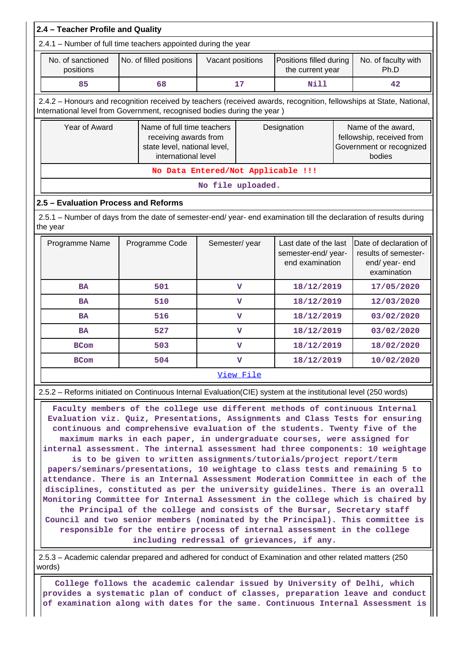| 2.4 - Teacher Profile and Quality                                                                                                                                                                                                                                                                                                                                                                                                                                                                                                                                                                                                                                                                                                                                        |                                                                                                                                                                                                |                   |                         |                                                                                 |                                                                                       |                             |  |  |
|--------------------------------------------------------------------------------------------------------------------------------------------------------------------------------------------------------------------------------------------------------------------------------------------------------------------------------------------------------------------------------------------------------------------------------------------------------------------------------------------------------------------------------------------------------------------------------------------------------------------------------------------------------------------------------------------------------------------------------------------------------------------------|------------------------------------------------------------------------------------------------------------------------------------------------------------------------------------------------|-------------------|-------------------------|---------------------------------------------------------------------------------|---------------------------------------------------------------------------------------|-----------------------------|--|--|
|                                                                                                                                                                                                                                                                                                                                                                                                                                                                                                                                                                                                                                                                                                                                                                          | 2.4.1 - Number of full time teachers appointed during the year                                                                                                                                 |                   |                         |                                                                                 |                                                                                       |                             |  |  |
| No. of sanctioned<br>positions                                                                                                                                                                                                                                                                                                                                                                                                                                                                                                                                                                                                                                                                                                                                           | No. of filled positions                                                                                                                                                                        | Vacant positions  |                         | Positions filled during<br>the current year                                     |                                                                                       | No. of faculty with<br>Ph.D |  |  |
| 85                                                                                                                                                                                                                                                                                                                                                                                                                                                                                                                                                                                                                                                                                                                                                                       | 68                                                                                                                                                                                             |                   | 17                      | <b>Nill</b>                                                                     |                                                                                       | 42                          |  |  |
|                                                                                                                                                                                                                                                                                                                                                                                                                                                                                                                                                                                                                                                                                                                                                                          | 2.4.2 - Honours and recognition received by teachers (received awards, recognition, fellowships at State, National,<br>International level from Government, recognised bodies during the year) |                   |                         |                                                                                 |                                                                                       |                             |  |  |
| Year of Award                                                                                                                                                                                                                                                                                                                                                                                                                                                                                                                                                                                                                                                                                                                                                            | Name of full time teachers<br>receiving awards from<br>state level, national level,<br>international level                                                                                     |                   | Designation             |                                                                                 | Name of the award,<br>fellowship, received from<br>Government or recognized<br>bodies |                             |  |  |
|                                                                                                                                                                                                                                                                                                                                                                                                                                                                                                                                                                                                                                                                                                                                                                          | No Data Entered/Not Applicable !!!                                                                                                                                                             |                   |                         |                                                                                 |                                                                                       |                             |  |  |
|                                                                                                                                                                                                                                                                                                                                                                                                                                                                                                                                                                                                                                                                                                                                                                          |                                                                                                                                                                                                | No file uploaded. |                         |                                                                                 |                                                                                       |                             |  |  |
| 2.5 - Evaluation Process and Reforms                                                                                                                                                                                                                                                                                                                                                                                                                                                                                                                                                                                                                                                                                                                                     |                                                                                                                                                                                                |                   |                         |                                                                                 |                                                                                       |                             |  |  |
| the year                                                                                                                                                                                                                                                                                                                                                                                                                                                                                                                                                                                                                                                                                                                                                                 | 2.5.1 - Number of days from the date of semester-end/ year- end examination till the declaration of results during                                                                             |                   |                         |                                                                                 |                                                                                       |                             |  |  |
| Programme Name                                                                                                                                                                                                                                                                                                                                                                                                                                                                                                                                                                                                                                                                                                                                                           | Semester/year<br>Last date of the last<br>Programme Code<br>semester-end/year-<br>end examination                                                                                              |                   |                         | Date of declaration of<br>results of semester-<br>end/ year- end<br>examination |                                                                                       |                             |  |  |
| <b>BA</b>                                                                                                                                                                                                                                                                                                                                                                                                                                                                                                                                                                                                                                                                                                                                                                | 501                                                                                                                                                                                            |                   | $\mathbf v$             | 18/12/2019                                                                      |                                                                                       | 17/05/2020                  |  |  |
| <b>BA</b>                                                                                                                                                                                                                                                                                                                                                                                                                                                                                                                                                                                                                                                                                                                                                                | 510                                                                                                                                                                                            |                   | $\overline{\mathbf{V}}$ | 18/12/2019                                                                      |                                                                                       | 12/03/2020                  |  |  |
| <b>BA</b>                                                                                                                                                                                                                                                                                                                                                                                                                                                                                                                                                                                                                                                                                                                                                                | 516                                                                                                                                                                                            |                   | v                       | 18/12/2019                                                                      |                                                                                       | 03/02/2020                  |  |  |
| <b>BA</b>                                                                                                                                                                                                                                                                                                                                                                                                                                                                                                                                                                                                                                                                                                                                                                | 527                                                                                                                                                                                            |                   | $\overline{\mathbf{v}}$ | 18/12/2019                                                                      |                                                                                       | 03/02/2020                  |  |  |
| <b>BCom</b>                                                                                                                                                                                                                                                                                                                                                                                                                                                                                                                                                                                                                                                                                                                                                              | 503                                                                                                                                                                                            |                   | v                       | 18/12/2019                                                                      |                                                                                       | 18/02/2020                  |  |  |
| <b>BCom</b>                                                                                                                                                                                                                                                                                                                                                                                                                                                                                                                                                                                                                                                                                                                                                              | 504                                                                                                                                                                                            |                   | $\overline{\mathbf{V}}$ | 18/12/2019                                                                      |                                                                                       | 10/02/2020                  |  |  |
|                                                                                                                                                                                                                                                                                                                                                                                                                                                                                                                                                                                                                                                                                                                                                                          |                                                                                                                                                                                                |                   | View File               |                                                                                 |                                                                                       |                             |  |  |
|                                                                                                                                                                                                                                                                                                                                                                                                                                                                                                                                                                                                                                                                                                                                                                          |                                                                                                                                                                                                |                   |                         |                                                                                 |                                                                                       |                             |  |  |
| 2.5.2 – Reforms initiated on Continuous Internal Evaluation (CIE) system at the institutional level (250 words)<br>Faculty members of the college use different methods of continuous Internal<br>Evaluation viz. Quiz, Presentations, Assignments and Class Tests for ensuring<br>continuous and comprehensive evaluation of the students. Twenty five of the<br>maximum marks in each paper, in undergraduate courses, were assigned for<br>internal assessment. The internal assessment had three components: 10 weightage<br>is to be given to written assignments/tutorials/project report/term<br>papers/seminars/presentations, 10 weightage to class tests and remaining 5 to<br>attendance. There is an Internal Assessment Moderation Committee in each of the |                                                                                                                                                                                                |                   |                         |                                                                                 |                                                                                       |                             |  |  |

**attendance. There is an Internal Assessment Moderation Committee in each of the disciplines, constituted as per the university guidelines. There is an overall Monitoring Committee for Internal Assessment in the college which is chaired by the Principal of the college and consists of the Bursar, Secretary staff Council and two senior members (nominated by the Principal). This committee is responsible for the entire process of internal assessment in the college including redressal of grievances, if any.**

 2.5.3 – Academic calendar prepared and adhered for conduct of Examination and other related matters (250 words)

 **College follows the academic calendar issued by University of Delhi, which provides a systematic plan of conduct of classes, preparation leave and conduct of examination along with dates for the same. Continuous Internal Assessment is**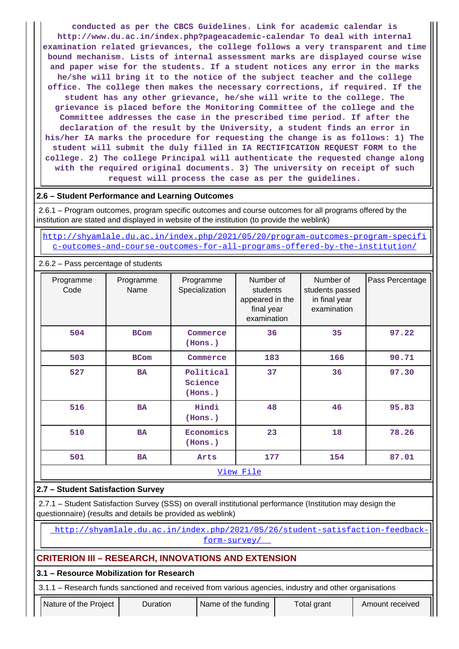**conducted as per the CBCS Guidelines. Link for academic calendar is http://www.du.ac.in/index.php?pageacademic-calendar To deal with internal examination related grievances, the college follows a very transparent and time bound mechanism. Lists of internal assessment marks are displayed course wise and paper wise for the students. If a student notices any error in the marks he/she will bring it to the notice of the subject teacher and the college office. The college then makes the necessary corrections, if required. If the student has any other grievance, he/she will write to the college. The grievance is placed before the Monitoring Committee of the college and the Committee addresses the case in the prescribed time period. If after the declaration of the result by the University, a student finds an error in his/her IA marks the procedure for requesting the change is as follows: 1) The student will submit the duly filled in IA RECTIFICATION REQUEST FORM to the college. 2) The college Principal will authenticate the requested change along with the required original documents. 3) The university on receipt of such request will process the case as per the guidelines.**

#### **2.6 – Student Performance and Learning Outcomes**

 2.6.1 – Program outcomes, program specific outcomes and course outcomes for all programs offered by the institution are stated and displayed in website of the institution (to provide the weblink)

 [http://shyamlale.du.ac.in/index.php/2021/05/20/program-outcomes-program-specifi](http://shyamlale.du.ac.in/index.php/2021/05/20/program-outcomes-program-specific-outcomes-and-course-outcomes-for-all-programs-offered-by-the-institution/) [c-outcomes-and-course-outcomes-for-all-programs-offered-by-the-institution/](http://shyamlale.du.ac.in/index.php/2021/05/20/program-outcomes-program-specific-outcomes-and-course-outcomes-for-all-programs-offered-by-the-institution/)

| 2.6.2 - Pass percentage of students |                   |                                 |                                                                       |                                                              |                 |
|-------------------------------------|-------------------|---------------------------------|-----------------------------------------------------------------------|--------------------------------------------------------------|-----------------|
| Programme<br>Code                   | Programme<br>Name | Programme<br>Specialization     | Number of<br>students<br>appeared in the<br>final year<br>examination | Number of<br>students passed<br>in final year<br>examination | Pass Percentage |
| 504                                 | <b>BCom</b>       |                                 | 36                                                                    | 35                                                           | 97.22           |
| 503                                 | <b>BCom</b>       | Commerce                        | 183                                                                   | 166                                                          | 90.71           |
| 527                                 | <b>BA</b>         | Political<br>Science<br>(Hons.) | 37                                                                    | 36                                                           | 97.30           |
| 516                                 | <b>BA</b>         | Hindi<br>(Hons.)                | 48                                                                    | 46                                                           | 95.83           |
| 510                                 | <b>BA</b>         |                                 | 23                                                                    | 18                                                           | 78.26           |
| 501                                 | BA                | Arts                            | 177                                                                   | 154                                                          | 87.01           |
|                                     |                   |                                 | View File                                                             |                                                              |                 |

## **2.7 – Student Satisfaction Survey**

 2.7.1 – Student Satisfaction Survey (SSS) on overall institutional performance (Institution may design the questionnaire) (results and details be provided as weblink)

 [http://shyamlale.du.ac.in/index.php/2021/05/26/student-satisfaction-feedback](http://shyamlale.du.ac.in/index.php/2021/05/26/student-satisfaction-feedback-form-survey/)[form-survey/](http://shyamlale.du.ac.in/index.php/2021/05/26/student-satisfaction-feedback-form-survey/) 

## **CRITERION III – RESEARCH, INNOVATIONS AND EXTENSION**

#### **3.1 – Resource Mobilization for Research**

3.1.1 – Research funds sanctioned and received from various agencies, industry and other organisations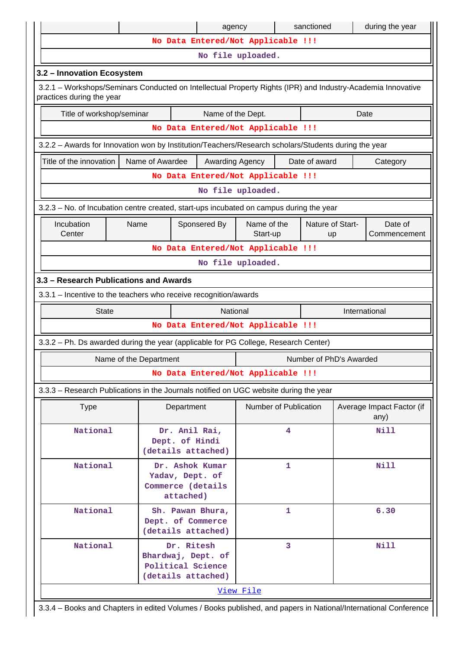|                                                                                                                                          |                        | agency                                                                      |                                    | sanctioned              | during the year                   |  |  |  |  |  |
|------------------------------------------------------------------------------------------------------------------------------------------|------------------------|-----------------------------------------------------------------------------|------------------------------------|-------------------------|-----------------------------------|--|--|--|--|--|
|                                                                                                                                          |                        |                                                                             | No Data Entered/Not Applicable !!! |                         |                                   |  |  |  |  |  |
|                                                                                                                                          |                        |                                                                             | No file uploaded.                  |                         |                                   |  |  |  |  |  |
| 3.2 - Innovation Ecosystem                                                                                                               |                        |                                                                             |                                    |                         |                                   |  |  |  |  |  |
| 3.2.1 – Workshops/Seminars Conducted on Intellectual Property Rights (IPR) and Industry-Academia Innovative<br>practices during the year |                        |                                                                             |                                    |                         |                                   |  |  |  |  |  |
| Title of workshop/seminar                                                                                                                |                        | Name of the Dept.                                                           |                                    |                         | Date                              |  |  |  |  |  |
|                                                                                                                                          |                        |                                                                             | No Data Entered/Not Applicable !!! |                         |                                   |  |  |  |  |  |
| 3.2.2 - Awards for Innovation won by Institution/Teachers/Research scholars/Students during the year                                     |                        |                                                                             |                                    |                         |                                   |  |  |  |  |  |
| Title of the innovation                                                                                                                  | Name of Awardee        | Awarding Agency                                                             |                                    | Date of award           | Category                          |  |  |  |  |  |
| No Data Entered/Not Applicable !!!                                                                                                       |                        |                                                                             |                                    |                         |                                   |  |  |  |  |  |
| No file uploaded.                                                                                                                        |                        |                                                                             |                                    |                         |                                   |  |  |  |  |  |
| 3.2.3 – No. of Incubation centre created, start-ups incubated on campus during the year                                                  |                        |                                                                             |                                    |                         |                                   |  |  |  |  |  |
| Incubation<br>Name of the<br>Nature of Start-<br>Name<br>Sponsered By<br>Date of<br>Center<br>Start-up<br>Commencement<br>up             |                        |                                                                             |                                    |                         |                                   |  |  |  |  |  |
|                                                                                                                                          |                        |                                                                             | No Data Entered/Not Applicable !!! |                         |                                   |  |  |  |  |  |
|                                                                                                                                          |                        |                                                                             | No file uploaded.                  |                         |                                   |  |  |  |  |  |
| 3.3 - Research Publications and Awards                                                                                                   |                        |                                                                             |                                    |                         |                                   |  |  |  |  |  |
| 3.3.1 - Incentive to the teachers who receive recognition/awards                                                                         |                        |                                                                             |                                    |                         |                                   |  |  |  |  |  |
| <b>State</b>                                                                                                                             |                        | National                                                                    |                                    |                         | International                     |  |  |  |  |  |
|                                                                                                                                          |                        |                                                                             | No Data Entered/Not Applicable !!! |                         |                                   |  |  |  |  |  |
| 3.3.2 - Ph. Ds awarded during the year (applicable for PG College, Research Center)                                                      |                        |                                                                             |                                    |                         |                                   |  |  |  |  |  |
|                                                                                                                                          | Name of the Department |                                                                             |                                    | Number of PhD's Awarded |                                   |  |  |  |  |  |
|                                                                                                                                          |                        |                                                                             | No Data Entered/Not Applicable !!! |                         |                                   |  |  |  |  |  |
| 3.3.3 – Research Publications in the Journals notified on UGC website during the year                                                    |                        |                                                                             |                                    |                         |                                   |  |  |  |  |  |
| <b>Type</b>                                                                                                                              |                        | Department                                                                  | <b>Number of Publication</b>       |                         | Average Impact Factor (if<br>any) |  |  |  |  |  |
| National                                                                                                                                 |                        | Dr. Anil Rai,<br>Dept. of Hindi<br>(details attached)                       | 4                                  |                         | Nill                              |  |  |  |  |  |
| National                                                                                                                                 |                        | Dr. Ashok Kumar<br>Yadav, Dept. of<br>Commerce (details<br>attached)        | 1                                  |                         | Nill                              |  |  |  |  |  |
| National                                                                                                                                 |                        | Sh. Pawan Bhura,<br>Dept. of Commerce<br>(details attached)                 | 1                                  |                         | 6.30                              |  |  |  |  |  |
| National                                                                                                                                 |                        | Dr. Ritesh<br>Bhardwaj, Dept. of<br>Political Science<br>(details attached) | 3                                  |                         | <b>Nill</b>                       |  |  |  |  |  |
|                                                                                                                                          |                        |                                                                             | View File                          |                         |                                   |  |  |  |  |  |

| 3.3.4 – Books and Chapters in edited Volumes / Books published, and papers in National/International Conference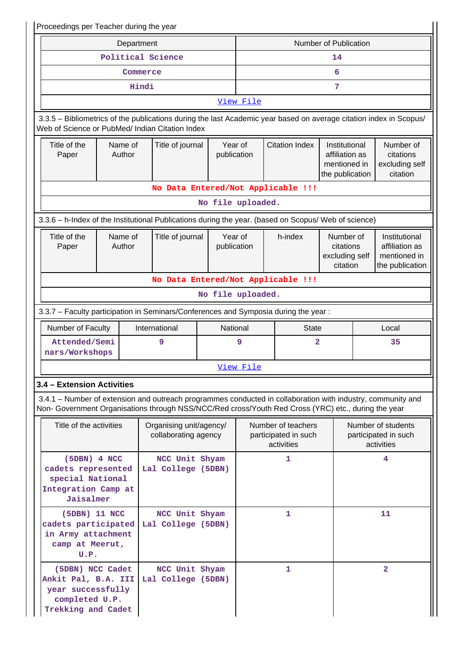| Proceedings per Teacher during the year                                                                                                                                                                            |                   |                                                 |                        |           |                                                          |                                                                    |                                                                    |                                                          |  |  |
|--------------------------------------------------------------------------------------------------------------------------------------------------------------------------------------------------------------------|-------------------|-------------------------------------------------|------------------------|-----------|----------------------------------------------------------|--------------------------------------------------------------------|--------------------------------------------------------------------|----------------------------------------------------------|--|--|
|                                                                                                                                                                                                                    | Department        |                                                 |                        |           |                                                          | Number of Publication                                              |                                                                    |                                                          |  |  |
|                                                                                                                                                                                                                    | Political Science |                                                 |                        |           |                                                          | 14                                                                 |                                                                    |                                                          |  |  |
|                                                                                                                                                                                                                    | Commerce          |                                                 |                        | 6         |                                                          |                                                                    |                                                                    |                                                          |  |  |
|                                                                                                                                                                                                                    | Hindi             |                                                 |                        | 7         |                                                          |                                                                    |                                                                    |                                                          |  |  |
|                                                                                                                                                                                                                    |                   |                                                 |                        | View File |                                                          |                                                                    |                                                                    |                                                          |  |  |
| 3.3.5 – Bibliometrics of the publications during the last Academic year based on average citation index in Scopus/<br>Web of Science or PubMed/ Indian Citation Index                                              |                   |                                                 |                        |           |                                                          |                                                                    |                                                                    |                                                          |  |  |
| Title of the<br>Paper                                                                                                                                                                                              | Name of<br>Author | Title of journal                                | Year of<br>publication |           | <b>Citation Index</b>                                    | Institutional<br>affiliation as<br>mentioned in<br>the publication |                                                                    | Number of<br>citations<br>excluding self<br>citation     |  |  |
|                                                                                                                                                                                                                    |                   | No Data Entered/Not Applicable !!!              |                        |           |                                                          |                                                                    |                                                                    |                                                          |  |  |
|                                                                                                                                                                                                                    |                   |                                                 | No file uploaded.      |           |                                                          |                                                                    |                                                                    |                                                          |  |  |
| 3.3.6 - h-Index of the Institutional Publications during the year. (based on Scopus/ Web of science)                                                                                                               |                   |                                                 |                        |           |                                                          |                                                                    |                                                                    |                                                          |  |  |
| Title of the<br>Paper                                                                                                                                                                                              | Name of<br>Author | Title of journal                                | Year of<br>publication |           | h-index                                                  | Number of<br>citations<br>excluding self<br>citation               | Institutional<br>affiliation as<br>mentioned in<br>the publication |                                                          |  |  |
|                                                                                                                                                                                                                    |                   | No Data Entered/Not Applicable !!!              |                        |           |                                                          |                                                                    |                                                                    |                                                          |  |  |
|                                                                                                                                                                                                                    |                   |                                                 | No file uploaded.      |           |                                                          |                                                                    |                                                                    |                                                          |  |  |
| 3.3.7 - Faculty participation in Seminars/Conferences and Symposia during the year:                                                                                                                                |                   |                                                 |                        |           |                                                          |                                                                    |                                                                    |                                                          |  |  |
| Number of Faculty                                                                                                                                                                                                  |                   | International                                   | National               |           | <b>State</b>                                             |                                                                    |                                                                    | Local                                                    |  |  |
| Attended/Semi<br>nars/Workshops                                                                                                                                                                                    |                   | 9                                               |                        | 9         | 2                                                        |                                                                    |                                                                    | 35                                                       |  |  |
|                                                                                                                                                                                                                    |                   |                                                 |                        | View File |                                                          |                                                                    |                                                                    |                                                          |  |  |
| 3.4 - Extension Activities                                                                                                                                                                                         |                   |                                                 |                        |           |                                                          |                                                                    |                                                                    |                                                          |  |  |
| 3.4.1 – Number of extension and outreach programmes conducted in collaboration with industry, community and<br>Non- Government Organisations through NSS/NCC/Red cross/Youth Red Cross (YRC) etc., during the year |                   |                                                 |                        |           |                                                          |                                                                    |                                                                    |                                                          |  |  |
| Title of the activities                                                                                                                                                                                            |                   | Organising unit/agency/<br>collaborating agency |                        |           | Number of teachers<br>participated in such<br>activities |                                                                    |                                                                    | Number of students<br>participated in such<br>activities |  |  |
| (5DBN) 4 NCC<br>cadets represented<br>special National<br>Integration Camp at<br>Jaisalmer                                                                                                                         |                   | NCC Unit Shyam<br>Lal College (5DBN)            |                        |           | 1                                                        |                                                                    |                                                                    | 4                                                        |  |  |
| (5DBN) 11 NCC<br>cadets participated<br>in Army attachment<br>camp at Meerut,<br>U.P.                                                                                                                              |                   | NCC Unit Shyam<br>Lal College (5DBN)            |                        |           | 1                                                        |                                                                    |                                                                    | 11                                                       |  |  |
| (5DBN) NCC Cadet<br>Ankit Pal, B.A. III<br>year successfully<br>completed U.P.<br>Trekking and Cadet                                                                                                               |                   | NCC Unit Shyam<br>Lal College (5DBN)            |                        |           | 1                                                        |                                                                    |                                                                    | $\overline{\mathbf{2}}$                                  |  |  |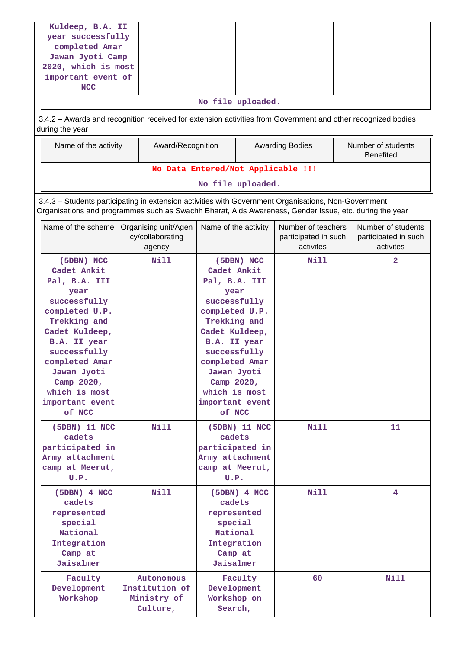| Kuldeep, B.A. II<br>year successfully<br>completed Amar<br>Jawan Jyoti Camp<br>2020, which is most<br>important event of<br><b>NCC</b><br>3.4.2 - Awards and recognition received for extension activities from Government and other recognized bodies<br>during the year<br>Name of the activity | Award/Recognition                                                                                                                                                                                              | No Data Entered/Not Applicable !!!                                                                                                                                                                                                    | No file uploaded.             | <b>Awarding Bodies</b>                                  |  | Number of students<br><b>Benefited</b>                  |  |  |  |  |
|---------------------------------------------------------------------------------------------------------------------------------------------------------------------------------------------------------------------------------------------------------------------------------------------------|----------------------------------------------------------------------------------------------------------------------------------------------------------------------------------------------------------------|---------------------------------------------------------------------------------------------------------------------------------------------------------------------------------------------------------------------------------------|-------------------------------|---------------------------------------------------------|--|---------------------------------------------------------|--|--|--|--|
|                                                                                                                                                                                                                                                                                                   |                                                                                                                                                                                                                |                                                                                                                                                                                                                                       | No file uploaded.             |                                                         |  |                                                         |  |  |  |  |
|                                                                                                                                                                                                                                                                                                   | 3.4.3 - Students participating in extension activities with Government Organisations, Non-Government<br>Organisations and programmes such as Swachh Bharat, Aids Awareness, Gender Issue, etc. during the year |                                                                                                                                                                                                                                       |                               |                                                         |  |                                                         |  |  |  |  |
| Name of the scheme                                                                                                                                                                                                                                                                                | Organising unit/Agen<br>cy/collaborating<br>agency                                                                                                                                                             | Name of the activity                                                                                                                                                                                                                  |                               | Number of teachers<br>participated in such<br>activites |  | Number of students<br>participated in such<br>activites |  |  |  |  |
| (5DBN) NCC<br>Cadet Ankit<br>Pal, B.A. III<br>year<br>successfully<br>completed U.P.<br>Trekking and<br>Cadet Kuldeep,<br>B.A. II year<br>successfully<br>completed Amar<br>Jawan Jyoti<br>Camp 2020,<br>which is most<br>important event<br>of NCC                                               | Nill                                                                                                                                                                                                           | Cadet Ankit<br>Pal, B.A. III<br>year<br>successfully<br>completed U.P.<br>Trekking and<br>Cadet Kuldeep,<br>B.A. II year<br>successfully<br>completed Amar<br>Jawan Jyoti<br>Camp 2020,<br>which is most<br>important event<br>of NCC | (5DBN) NCC                    | Nill                                                    |  | 2                                                       |  |  |  |  |
| (5DBN) 11 NCC<br>cadets<br>participated in<br>Army attachment<br>camp at Meerut,<br>U.P.                                                                                                                                                                                                          | Nill                                                                                                                                                                                                           | cadets<br>participated in<br>Army attachment<br>camp at Meerut,<br>U.P.                                                                                                                                                               | (5DBN) 11 NCC                 | Nill                                                    |  | 11                                                      |  |  |  |  |
| $(5DBN)$ 4 NCC<br>cadets<br>represented<br>special<br>National<br>Integration<br>Camp at<br>Jaisalmer                                                                                                                                                                                             | Nill                                                                                                                                                                                                           | cadets<br>special<br>National<br>Integration<br>Camp at<br>Jaisalmer                                                                                                                                                                  | $(5DBN)$ 4 NCC<br>represented | Nill                                                    |  | 4                                                       |  |  |  |  |
| Faculty<br>Development<br>Workshop                                                                                                                                                                                                                                                                | Autonomous<br>Institution of<br>Ministry of<br>Culture,                                                                                                                                                        | Development<br>Workshop on<br>Search,                                                                                                                                                                                                 | Faculty                       | 60                                                      |  | <b>Nill</b>                                             |  |  |  |  |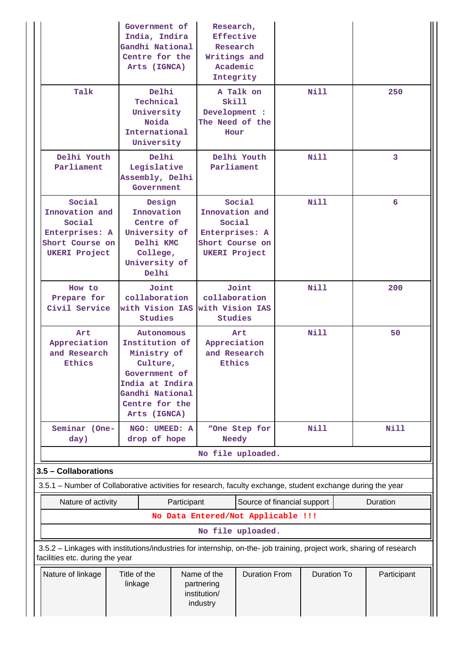|                                                                                                                       | Government of<br>India, Indira<br>Gandhi National<br>Centre for the<br>Arts (IGNCA)                   |                                                                                                                                  | Research,<br>Effective<br>Research<br>Writings and<br>Academic<br>Integrity           |                                                             |      |                    |             |
|-----------------------------------------------------------------------------------------------------------------------|-------------------------------------------------------------------------------------------------------|----------------------------------------------------------------------------------------------------------------------------------|---------------------------------------------------------------------------------------|-------------------------------------------------------------|------|--------------------|-------------|
| Talk                                                                                                                  | Delhi<br>Technical<br>University<br>Noida<br>International<br>University                              |                                                                                                                                  | A Talk on<br>Skill<br>Development :<br>The Need of the<br>Hour                        |                                                             |      | Nill               | 250         |
| Delhi Youth<br>Parliament                                                                                             | Delhi<br>Legislative<br>Assembly, Delhi<br>Government                                                 |                                                                                                                                  | Delhi Youth<br>Parliament                                                             |                                                             | Nill |                    | 3           |
| Social<br>Innovation and<br>Social<br>Enterprises: A<br>Short Course on<br><b>UKERI Project</b>                       | Design<br>Innovation<br>Centre of<br>University of<br>Delhi KMC<br>College,<br>University of<br>Delhi |                                                                                                                                  | Innovation and<br>Social<br>Enterprises: A<br>Short Course on<br><b>UKERI Project</b> | Social                                                      |      | <b>Nill</b>        | 6           |
| How to<br>Prepare for<br>Civil Service                                                                                |                                                                                                       | Joint<br>collaboration<br>with Vision IAS<br><b>Studies</b>                                                                      |                                                                                       | Joint<br>collaboration<br>with Vision IAS<br><b>Studies</b> |      | <b>Nill</b>        | 200         |
| Art<br>Appreciation<br>and Research<br>Ethics                                                                         | Arts (IGNCA)                                                                                          | Autonomous<br>Institution of<br>Ministry of<br>Culture,<br>Government of<br>India at Indira<br>Gandhi National<br>Centre for the |                                                                                       | Art<br>Appreciation<br>and Research<br>Ethics               |      | Nill               | 50          |
| Seminar (One-                                                                                                         | NGO: UMEED: A<br>drop of hope                                                                         |                                                                                                                                  | <b>Needy</b>                                                                          | "One Step for                                               |      | <b>Nill</b>        | <b>Nill</b> |
| day)                                                                                                                  |                                                                                                       |                                                                                                                                  |                                                                                       | No file uploaded.                                           |      |                    |             |
| 3.5 - Collaborations                                                                                                  |                                                                                                       |                                                                                                                                  |                                                                                       |                                                             |      |                    |             |
| 3.5.1 – Number of Collaborative activities for research, faculty exchange, student exchange during the year           |                                                                                                       |                                                                                                                                  |                                                                                       |                                                             |      |                    |             |
| Nature of activity                                                                                                    |                                                                                                       | Participant                                                                                                                      |                                                                                       | Source of financial support                                 |      |                    | Duration    |
|                                                                                                                       |                                                                                                       |                                                                                                                                  |                                                                                       | No Data Entered/Not Applicable !!!                          |      |                    |             |
| 3.5.2 - Linkages with institutions/industries for internship, on-the- job training, project work, sharing of research |                                                                                                       |                                                                                                                                  |                                                                                       | No file uploaded.                                           |      |                    |             |
| facilities etc. during the year<br>Nature of linkage                                                                  | Title of the<br>linkage                                                                               |                                                                                                                                  | Name of the<br>partnering<br>institution/<br>industry                                 | <b>Duration From</b>                                        |      | <b>Duration To</b> | Participant |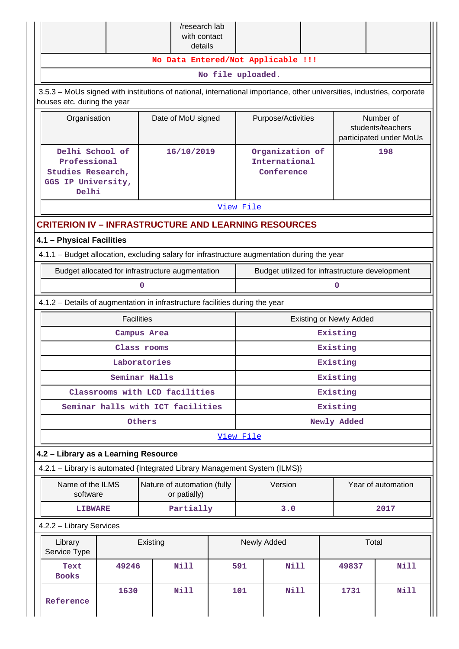|                                                                                                                                                       |                                                                                          |                                | /research lab<br>with contact<br>details |                   |                                                |                                                |                                                           |                                |                    |
|-------------------------------------------------------------------------------------------------------------------------------------------------------|------------------------------------------------------------------------------------------|--------------------------------|------------------------------------------|-------------------|------------------------------------------------|------------------------------------------------|-----------------------------------------------------------|--------------------------------|--------------------|
|                                                                                                                                                       |                                                                                          |                                |                                          |                   |                                                | No Data Entered/Not Applicable !!!             |                                                           |                                |                    |
|                                                                                                                                                       |                                                                                          |                                |                                          | No file uploaded. |                                                |                                                |                                                           |                                |                    |
| 3.5.3 - MoUs signed with institutions of national, international importance, other universities, industries, corporate<br>houses etc. during the year |                                                                                          |                                |                                          |                   |                                                |                                                |                                                           |                                |                    |
| Organisation                                                                                                                                          |                                                                                          |                                | Date of MoU signed<br>Purpose/Activities |                   |                                                |                                                | Number of<br>students/teachers<br>participated under MoUs |                                |                    |
| Delhi                                                                                                                                                 | Delhi School of<br>16/10/2019<br>Professional<br>Studies Research,<br>GGS IP University, |                                |                                          |                   |                                                | Organization of<br>International<br>Conference |                                                           |                                | 198                |
|                                                                                                                                                       |                                                                                          |                                |                                          |                   | View File                                      |                                                |                                                           |                                |                    |
| <b>CRITERION IV - INFRASTRUCTURE AND LEARNING RESOURCES</b>                                                                                           |                                                                                          |                                |                                          |                   |                                                |                                                |                                                           |                                |                    |
| 4.1 - Physical Facilities                                                                                                                             |                                                                                          |                                |                                          |                   |                                                |                                                |                                                           |                                |                    |
| 4.1.1 - Budget allocation, excluding salary for infrastructure augmentation during the year                                                           |                                                                                          |                                |                                          |                   |                                                |                                                |                                                           |                                |                    |
| Budget allocated for infrastructure augmentation                                                                                                      |                                                                                          |                                |                                          |                   | Budget utilized for infrastructure development |                                                |                                                           |                                |                    |
|                                                                                                                                                       |                                                                                          | 0                              |                                          |                   | 0                                              |                                                |                                                           |                                |                    |
| 4.1.2 - Details of augmentation in infrastructure facilities during the year                                                                          |                                                                                          |                                |                                          |                   |                                                |                                                |                                                           |                                |                    |
|                                                                                                                                                       | <b>Facilities</b>                                                                        |                                |                                          |                   |                                                |                                                |                                                           | <b>Existing or Newly Added</b> |                    |
|                                                                                                                                                       |                                                                                          | Campus Area                    |                                          |                   |                                                |                                                |                                                           | Existing                       |                    |
|                                                                                                                                                       |                                                                                          | Class rooms                    |                                          |                   | Existing                                       |                                                |                                                           |                                |                    |
|                                                                                                                                                       |                                                                                          | Laboratories                   |                                          |                   | Existing<br>Existing                           |                                                |                                                           |                                |                    |
|                                                                                                                                                       |                                                                                          | Seminar Halls                  |                                          |                   |                                                |                                                |                                                           |                                |                    |
| Seminar halls with ICT facilities                                                                                                                     |                                                                                          | Classrooms with LCD facilities |                                          |                   | Existing<br>Existing                           |                                                |                                                           |                                |                    |
|                                                                                                                                                       |                                                                                          | Others                         |                                          |                   |                                                |                                                |                                                           | Newly Added                    |                    |
|                                                                                                                                                       |                                                                                          |                                |                                          |                   | View File                                      |                                                |                                                           |                                |                    |
| 4.2 - Library as a Learning Resource                                                                                                                  |                                                                                          |                                |                                          |                   |                                                |                                                |                                                           |                                |                    |
| 4.2.1 - Library is automated {Integrated Library Management System (ILMS)}                                                                            |                                                                                          |                                |                                          |                   |                                                |                                                |                                                           |                                |                    |
| Name of the ILMS<br>software                                                                                                                          |                                                                                          | Nature of automation (fully    | or patially)                             |                   |                                                | Version                                        |                                                           |                                | Year of automation |
| <b>LIBWARE</b>                                                                                                                                        |                                                                                          |                                | Partially                                |                   |                                                | 3.0                                            |                                                           |                                | 2017               |
| 4.2.2 - Library Services                                                                                                                              |                                                                                          |                                |                                          |                   |                                                |                                                |                                                           |                                |                    |
| Library<br>Service Type                                                                                                                               |                                                                                          | Existing                       |                                          |                   |                                                | Newly Added                                    |                                                           |                                | Total              |
| Text<br><b>Books</b>                                                                                                                                  | 49246                                                                                    |                                | <b>Nill</b>                              |                   | 591                                            | <b>Nill</b>                                    |                                                           | 49837                          | <b>Nill</b>        |
| Reference                                                                                                                                             | 1630                                                                                     |                                | <b>Nill</b>                              |                   | 101                                            | <b>Nill</b>                                    |                                                           | 1731                           | Nill               |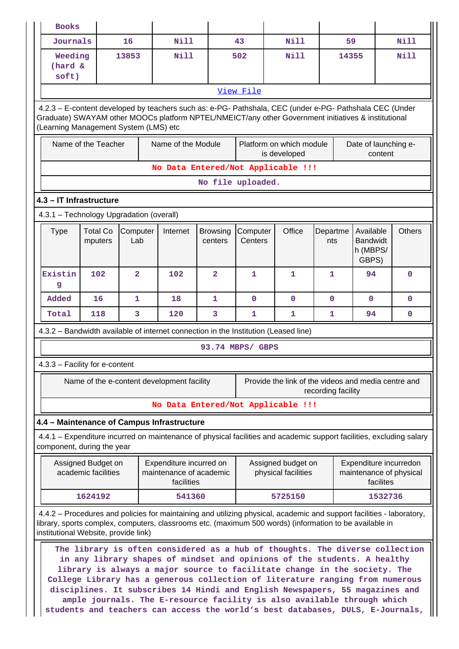| <b>Books</b>                               |                                                                                                                                                                                                                                                         |                |                                                                  |                   |                  |                                                                                                                                                                                                                                                                                                                                                                                                                                                                                                                                                                     |                    |                      |           |                                                   |  |  |
|--------------------------------------------|---------------------------------------------------------------------------------------------------------------------------------------------------------------------------------------------------------------------------------------------------------|----------------|------------------------------------------------------------------|-------------------|------------------|---------------------------------------------------------------------------------------------------------------------------------------------------------------------------------------------------------------------------------------------------------------------------------------------------------------------------------------------------------------------------------------------------------------------------------------------------------------------------------------------------------------------------------------------------------------------|--------------------|----------------------|-----------|---------------------------------------------------|--|--|
|                                            | Journals<br>16                                                                                                                                                                                                                                          |                | <b>Nill</b>                                                      |                   | 43               | <b>Nill</b>                                                                                                                                                                                                                                                                                                                                                                                                                                                                                                                                                         | 59                 |                      |           | Nill                                              |  |  |
| Weeding<br>(hard &<br>soft)                |                                                                                                                                                                                                                                                         | 13853          | <b>Nill</b>                                                      |                   | 502              | <b>Nill</b>                                                                                                                                                                                                                                                                                                                                                                                                                                                                                                                                                         | 14355              |                      |           | <b>Nill</b>                                       |  |  |
|                                            |                                                                                                                                                                                                                                                         |                |                                                                  |                   | View File        |                                                                                                                                                                                                                                                                                                                                                                                                                                                                                                                                                                     |                    |                      |           |                                                   |  |  |
|                                            | 4.2.3 - E-content developed by teachers such as: e-PG- Pathshala, CEC (under e-PG- Pathshala CEC (Under<br>Graduate) SWAYAM other MOOCs platform NPTEL/NMEICT/any other Government initiatives & institutional<br>(Learning Management System (LMS) etc |                |                                                                  |                   |                  |                                                                                                                                                                                                                                                                                                                                                                                                                                                                                                                                                                     |                    |                      |           |                                                   |  |  |
|                                            | Name of the Teacher                                                                                                                                                                                                                                     |                | Name of the Module                                               |                   |                  | Platform on which module<br>is developed                                                                                                                                                                                                                                                                                                                                                                                                                                                                                                                            |                    | Date of launching e- | content   |                                                   |  |  |
|                                            |                                                                                                                                                                                                                                                         |                |                                                                  |                   |                  | No Data Entered/Not Applicable !!!                                                                                                                                                                                                                                                                                                                                                                                                                                                                                                                                  |                    |                      |           |                                                   |  |  |
|                                            |                                                                                                                                                                                                                                                         |                |                                                                  | No file uploaded. |                  |                                                                                                                                                                                                                                                                                                                                                                                                                                                                                                                                                                     |                    |                      |           |                                                   |  |  |
| 4.3 - IT Infrastructure                    |                                                                                                                                                                                                                                                         |                |                                                                  |                   |                  |                                                                                                                                                                                                                                                                                                                                                                                                                                                                                                                                                                     |                    |                      |           |                                                   |  |  |
| 4.3.1 - Technology Upgradation (overall)   |                                                                                                                                                                                                                                                         |                |                                                                  |                   |                  |                                                                                                                                                                                                                                                                                                                                                                                                                                                                                                                                                                     |                    |                      |           |                                                   |  |  |
| <b>Type</b>                                | <b>Total Co</b><br>Computer<br>Office<br>Available<br><b>Others</b><br>Computer<br>Internet<br><b>Browsing</b><br>Departme<br><b>Bandwidt</b><br>Lab<br>Centers<br>mputers<br>centers<br>nts<br>h (MBPS/<br>GBPS)                                       |                |                                                                  |                   |                  |                                                                                                                                                                                                                                                                                                                                                                                                                                                                                                                                                                     |                    |                      |           |                                                   |  |  |
| Existin<br>g                               | 102                                                                                                                                                                                                                                                     | $\overline{a}$ | 102                                                              | $\overline{2}$    | $\mathbf{1}$     | 1                                                                                                                                                                                                                                                                                                                                                                                                                                                                                                                                                                   | 1                  | 94                   |           | $\mathbf 0$                                       |  |  |
| Added                                      | 16                                                                                                                                                                                                                                                      | 1              | 18                                                               | 1                 | $\mathbf 0$      | $\mathbf 0$                                                                                                                                                                                                                                                                                                                                                                                                                                                                                                                                                         | $\mathbf{0}$       | $\mathbf 0$          |           | $\mathbf 0$                                       |  |  |
| Total                                      | 118                                                                                                                                                                                                                                                     | 3              | 120                                                              | 3                 | 1                | 1                                                                                                                                                                                                                                                                                                                                                                                                                                                                                                                                                                   | 1                  | 94                   |           | $\mathbf 0$                                       |  |  |
|                                            |                                                                                                                                                                                                                                                         |                |                                                                  |                   |                  | 4.3.2 - Bandwidth available of internet connection in the Institution (Leased line)                                                                                                                                                                                                                                                                                                                                                                                                                                                                                 |                    |                      |           |                                                   |  |  |
|                                            |                                                                                                                                                                                                                                                         |                |                                                                  |                   | 93.74 MBPS/ GBPS |                                                                                                                                                                                                                                                                                                                                                                                                                                                                                                                                                                     |                    |                      |           |                                                   |  |  |
| 4.3.3 - Facility for e-content             |                                                                                                                                                                                                                                                         |                |                                                                  |                   |                  |                                                                                                                                                                                                                                                                                                                                                                                                                                                                                                                                                                     |                    |                      |           |                                                   |  |  |
|                                            |                                                                                                                                                                                                                                                         |                | Name of the e-content development facility                       |                   |                  | Provide the link of the videos and media centre and                                                                                                                                                                                                                                                                                                                                                                                                                                                                                                                 | recording facility |                      |           |                                                   |  |  |
|                                            |                                                                                                                                                                                                                                                         |                |                                                                  |                   |                  | No Data Entered/Not Applicable !!!                                                                                                                                                                                                                                                                                                                                                                                                                                                                                                                                  |                    |                      |           |                                                   |  |  |
| 4.4 - Maintenance of Campus Infrastructure |                                                                                                                                                                                                                                                         |                |                                                                  |                   |                  |                                                                                                                                                                                                                                                                                                                                                                                                                                                                                                                                                                     |                    |                      |           |                                                   |  |  |
| component, during the year                 |                                                                                                                                                                                                                                                         |                |                                                                  |                   |                  | 4.4.1 – Expenditure incurred on maintenance of physical facilities and academic support facilities, excluding salary                                                                                                                                                                                                                                                                                                                                                                                                                                                |                    |                      |           |                                                   |  |  |
|                                            | Assigned Budget on<br>academic facilities                                                                                                                                                                                                               |                | Expenditure incurred on<br>maintenance of academic<br>facilities |                   |                  | Assigned budget on<br>physical facilities                                                                                                                                                                                                                                                                                                                                                                                                                                                                                                                           |                    |                      | facilites | Expenditure incurredon<br>maintenance of physical |  |  |
|                                            | 1624192                                                                                                                                                                                                                                                 |                | 541360                                                           |                   |                  | 5725150                                                                                                                                                                                                                                                                                                                                                                                                                                                                                                                                                             |                    |                      | 1532736   |                                                   |  |  |
| institutional Website, provide link)       |                                                                                                                                                                                                                                                         |                |                                                                  |                   |                  | 4.4.2 – Procedures and policies for maintaining and utilizing physical, academic and support facilities - laboratory,<br>library, sports complex, computers, classrooms etc. (maximum 500 words) (information to be available in                                                                                                                                                                                                                                                                                                                                    |                    |                      |           |                                                   |  |  |
|                                            |                                                                                                                                                                                                                                                         |                |                                                                  |                   |                  | The library is often considered as a hub of thoughts. The diverse collection<br>in any library shapes of mindset and opinions of the students. A healthy<br>library is always a major source to facilitate change in the society. The<br>College Library has a generous collection of literature ranging from numerous<br>disciplines. It subscribes 14 Hindi and English Newspapers, 55 magazines and<br>ample journals. The E-resource facility is also available through which<br>students and teachers can access the world's best databases, DULS, E-Journals, |                    |                      |           |                                                   |  |  |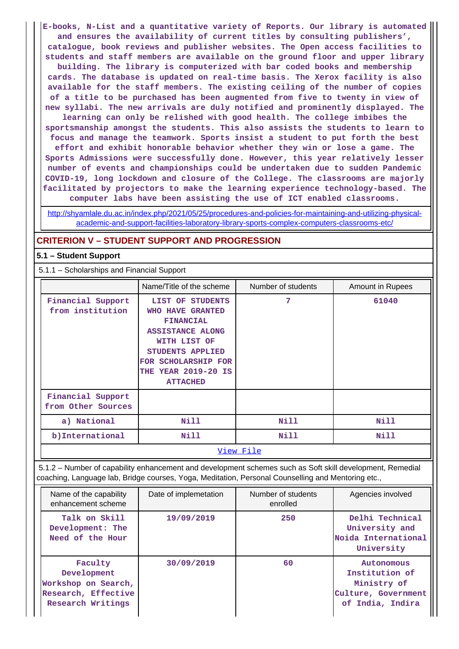**E-books, N-List and a quantitative variety of Reports. Our library is automated and ensures the availability of current titles by consulting publishers', catalogue, book reviews and publisher websites. The Open access facilities to students and staff members are available on the ground floor and upper library building. The library is computerized with bar coded books and membership cards. The database is updated on real-time basis. The Xerox facility is also available for the staff members. The existing ceiling of the number of copies of a title to be purchased has been augmented from five to twenty in view of new syllabi. The new arrivals are duly notified and prominently displayed. The learning can only be relished with good health. The college imbibes the sportsmanship amongst the students. This also assists the students to learn to focus and manage the teamwork. Sports insist a student to put forth the best effort and exhibit honorable behavior whether they win or lose a game. The Sports Admissions were successfully done. However, this year relatively lesser number of events and championships could be undertaken due to sudden Pandemic COVID-19, long lockdown and closure of the College. The classrooms are majorly facilitated by projectors to make the learning experience technology-based. The computer labs have been assisting the use of ICT enabled classrooms.**

[http://shyamlale.du.ac.in/index.php/2021/05/25/procedures-and-policies-for-maintaining-and-utilizing-physical](http://shyamlale.du.ac.in/index.php/2021/05/25/procedures-and-policies-for-maintaining-and-utilizing-physical-academic-and-support-facilities-laboratory-library-sports-complex-computers-classrooms-etc/)[academic-and-support-facilities-laboratory-library-sports-complex-computers-classrooms-etc/](http://shyamlale.du.ac.in/index.php/2021/05/25/procedures-and-policies-for-maintaining-and-utilizing-physical-academic-and-support-facilities-laboratory-library-sports-complex-computers-classrooms-etc/)

#### **CRITERION V – STUDENT SUPPORT AND PROGRESSION**

#### **5.1 – Student Support**

5.1.1 – Scholarships and Financial Support

|                                         | Name/Title of the scheme                                                                                                                                                                        | Number of students | <b>Amount in Rupees</b> |  |
|-----------------------------------------|-------------------------------------------------------------------------------------------------------------------------------------------------------------------------------------------------|--------------------|-------------------------|--|
| Financial Support<br>from institution   | LIST OF STUDENTS<br><b>WHO HAVE GRANTED</b><br><b>FINANCIAL</b><br><b>ASSISTANCE ALONG</b><br>WITH LIST OF<br>STUDENTS APPLIED<br>FOR SCHOLARSHIP FOR<br>THE YEAR 2019-20 IS<br><b>ATTACHED</b> | 7                  | 61040                   |  |
| Financial Support<br>from Other Sources |                                                                                                                                                                                                 |                    |                         |  |
| a) National                             | Nill                                                                                                                                                                                            | Nill               | Nill                    |  |
| b) International                        | Nill                                                                                                                                                                                            | Nill               | Nill                    |  |
|                                         |                                                                                                                                                                                                 | View File          |                         |  |

 5.1.2 – Number of capability enhancement and development schemes such as Soft skill development, Remedial coaching, Language lab, Bridge courses, Yoga, Meditation, Personal Counselling and Mentoring etc.,

| Name of the capability<br>enhancement scheme                                              | Date of implemetation | Number of students<br>enrolled | Agencies involved                                                                      |
|-------------------------------------------------------------------------------------------|-----------------------|--------------------------------|----------------------------------------------------------------------------------------|
| Talk on Skill<br>Development: The<br>Need of the Hour                                     | 19/09/2019            | 250                            | Delhi Technical<br>University and<br>Noida International<br>University                 |
| Faculty<br>Development<br>Workshop on Search,<br>Research, Effective<br>Research Writings | 30/09/2019            | 60                             | Autonomous<br>Institution of<br>Ministry of<br>Culture, Government<br>of India, Indira |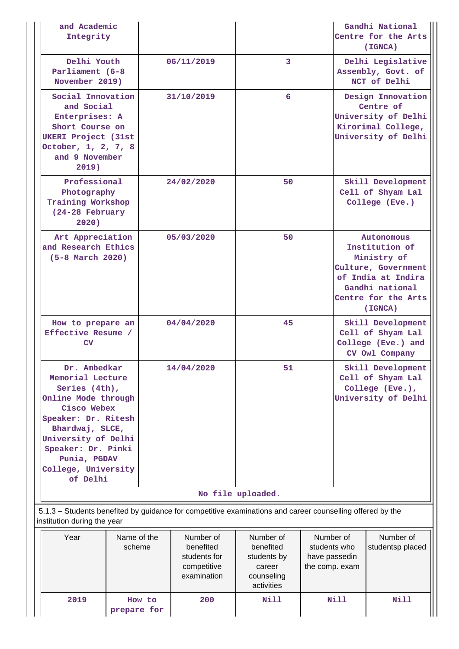|  | and Academic<br>Integrity                                                                                                                                                                                                                                                                             |             |        |                                                                                                           |                                                                             |                                                              | Gandhi National<br>Centre for the Arts<br>(IGNCA)                                                                                             |                                                                                  |  |
|--|-------------------------------------------------------------------------------------------------------------------------------------------------------------------------------------------------------------------------------------------------------------------------------------------------------|-------------|--------|-----------------------------------------------------------------------------------------------------------|-----------------------------------------------------------------------------|--------------------------------------------------------------|-----------------------------------------------------------------------------------------------------------------------------------------------|----------------------------------------------------------------------------------|--|
|  | Delhi Youth<br>Parliament (6-8<br>November 2019)                                                                                                                                                                                                                                                      |             |        | 06/11/2019                                                                                                | $\overline{3}$                                                              |                                                              | Delhi Legislative<br>Assembly, Govt. of<br>NCT of Delhi                                                                                       |                                                                                  |  |
|  | Social Innovation<br>and Social<br>Enterprises: A<br>Short Course on<br><b>UKERI Project (31st</b><br>October, 1, 2, 7, 8<br>and 9 November<br>2019)<br>Professional<br>Photography<br>Training Workshop<br>(24-28 February<br>2020)<br>Art Appreciation<br>and Research Ethics<br>$(5-8$ March 2020) |             |        | 31/10/2019                                                                                                | 6                                                                           |                                                              | Design Innovation<br>Centre of<br>University of Delhi<br>Kirorimal College,<br>University of Delhi                                            |                                                                                  |  |
|  |                                                                                                                                                                                                                                                                                                       |             |        | 24/02/2020                                                                                                | 50                                                                          |                                                              |                                                                                                                                               | Skill Development<br>Cell of Shyam Lal<br>College (Eve.)                         |  |
|  |                                                                                                                                                                                                                                                                                                       |             |        | 05/03/2020                                                                                                | 50                                                                          |                                                              | Autonomous<br>Institution of<br>Ministry of<br>Culture, Government<br>of India at Indira<br>Gandhi national<br>Centre for the Arts<br>(IGNCA) |                                                                                  |  |
|  | How to prepare an<br>Effective Resume /<br>$\mathop{\rm CV}\nolimits$                                                                                                                                                                                                                                 |             |        | 04/04/2020                                                                                                | 45                                                                          |                                                              | Skill Development<br>Cell of Shyam Lal<br>College (Eve.) and<br>CV Owl Company                                                                |                                                                                  |  |
|  | Dr. Ambedkar<br>Memorial Lecture<br>Series (4th),<br>Online Mode through<br>Cisco Webex<br>Speaker: Dr. Ritesh<br>Bhardwaj, SLCE,<br>University of Delhi<br>Speaker: Dr. Pinki<br>Punia, PGDAV<br>College, University<br>of Delhi                                                                     |             |        | 14/04/2020                                                                                                | 51                                                                          |                                                              |                                                                                                                                               | Skill Development<br>Cell of Shyam Lal<br>College (Eve.),<br>University of Delhi |  |
|  |                                                                                                                                                                                                                                                                                                       |             |        |                                                                                                           | No file uploaded.                                                           |                                                              |                                                                                                                                               |                                                                                  |  |
|  | institution during the year                                                                                                                                                                                                                                                                           |             |        | 5.1.3 – Students benefited by guidance for competitive examinations and career counselling offered by the |                                                                             |                                                              |                                                                                                                                               |                                                                                  |  |
|  | Year<br>Name of the<br>scheme                                                                                                                                                                                                                                                                         |             |        | Number of<br>benefited<br>students for<br>competitive<br>examination                                      | Number of<br>benefited<br>students by<br>career<br>counseling<br>activities | Number of<br>students who<br>have passedin<br>the comp. exam |                                                                                                                                               | Number of<br>studentsp placed                                                    |  |
|  | 2019                                                                                                                                                                                                                                                                                                  | prepare for | How to | 200                                                                                                       | <b>Nill</b>                                                                 |                                                              | <b>Nill</b>                                                                                                                                   | <b>Nill</b>                                                                      |  |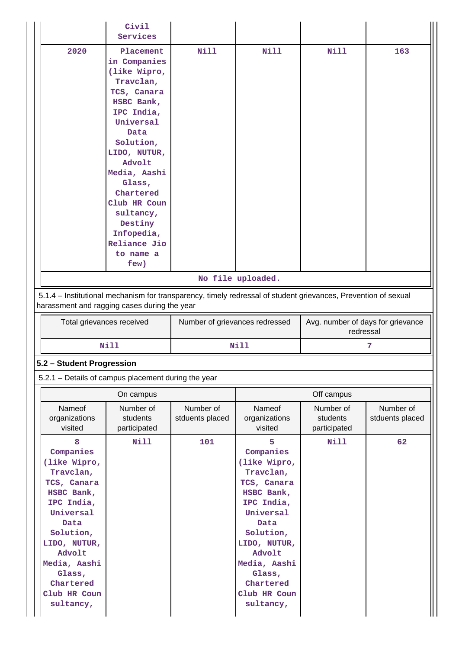|                                                                                                                                                                                                                        | Civil<br>Services                                                                                                                                                                                                                                                                               |                                |                                                                                                                                                                                                                        |                                                |                              |  |  |
|------------------------------------------------------------------------------------------------------------------------------------------------------------------------------------------------------------------------|-------------------------------------------------------------------------------------------------------------------------------------------------------------------------------------------------------------------------------------------------------------------------------------------------|--------------------------------|------------------------------------------------------------------------------------------------------------------------------------------------------------------------------------------------------------------------|------------------------------------------------|------------------------------|--|--|
| 2020                                                                                                                                                                                                                   | Placement<br>in Companies<br>(like Wipro,<br>Travclan,<br>TCS, Canara<br>HSBC Bank,<br>IPC India,<br>Universal<br>Data<br>Solution,<br>LIDO, NUTUR,<br>Advolt<br>Media, Aashi<br>Glass,<br>Chartered<br>Club HR Coun<br>sultancy,<br>Destiny<br>Infopedia,<br>Reliance Jio<br>to name a<br>few) | <b>Nill</b>                    | <b>Nill</b>                                                                                                                                                                                                            | Nill                                           | 163                          |  |  |
|                                                                                                                                                                                                                        |                                                                                                                                                                                                                                                                                                 |                                | No file uploaded.                                                                                                                                                                                                      |                                                |                              |  |  |
| 5.1.4 - Institutional mechanism for transparency, timely redressal of student grievances, Prevention of sexual<br>harassment and ragging cases during the year                                                         |                                                                                                                                                                                                                                                                                                 |                                |                                                                                                                                                                                                                        |                                                |                              |  |  |
| Total grievances received                                                                                                                                                                                              |                                                                                                                                                                                                                                                                                                 | Number of grievances redressed |                                                                                                                                                                                                                        | Avg. number of days for grievance<br>redressal |                              |  |  |
|                                                                                                                                                                                                                        | <b>Nill</b>                                                                                                                                                                                                                                                                                     |                                | Nill                                                                                                                                                                                                                   |                                                | 7                            |  |  |
| 5.2 - Student Progression                                                                                                                                                                                              |                                                                                                                                                                                                                                                                                                 |                                |                                                                                                                                                                                                                        |                                                |                              |  |  |
| 5.2.1 - Details of campus placement during the year                                                                                                                                                                    |                                                                                                                                                                                                                                                                                                 |                                |                                                                                                                                                                                                                        |                                                |                              |  |  |
|                                                                                                                                                                                                                        | On campus                                                                                                                                                                                                                                                                                       |                                |                                                                                                                                                                                                                        | Off campus                                     |                              |  |  |
| <b>Nameof</b><br>organizations<br>visited                                                                                                                                                                              | Number of<br>students<br>participated                                                                                                                                                                                                                                                           | Number of<br>stduents placed   | Nameof<br>organizations<br>visited                                                                                                                                                                                     | Number of<br>students<br>participated          | Number of<br>stduents placed |  |  |
| 8<br>Companies<br>(like Wipro,<br>Travclan,<br>TCS, Canara<br>HSBC Bank,<br>IPC India,<br>Universal<br>Data<br>Solution,<br>LIDO, NUTUR,<br>Advolt<br>Media, Aashi<br>Glass,<br>Chartered<br>Club HR Coun<br>sultancy, | Nill                                                                                                                                                                                                                                                                                            | 101                            | 5<br>Companies<br>(like Wipro,<br>Travclan,<br>TCS, Canara<br>HSBC Bank,<br>IPC India,<br>Universal<br>Data<br>Solution,<br>LIDO, NUTUR,<br>Advolt<br>Media, Aashi<br>Glass,<br>Chartered<br>Club HR Coun<br>sultancy, | Nill                                           | 62                           |  |  |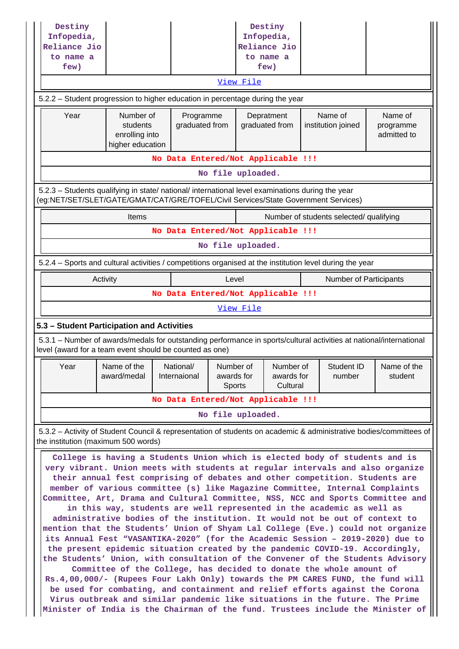| Destiny<br>Infopedia,<br>Reliance Jio                                                                                                                                                                                                                                                                                                                                                                                                                                                                                                                                                                                                                                                                                                                                                                                                                                                                                                                                                                                                                                                                                                                                                                                                                                                                                                                               |                                                |  |                           |  |                                                                          | Destiny<br>Infopedia,<br>Reliance Jio |  |                                         |                          |  |
|---------------------------------------------------------------------------------------------------------------------------------------------------------------------------------------------------------------------------------------------------------------------------------------------------------------------------------------------------------------------------------------------------------------------------------------------------------------------------------------------------------------------------------------------------------------------------------------------------------------------------------------------------------------------------------------------------------------------------------------------------------------------------------------------------------------------------------------------------------------------------------------------------------------------------------------------------------------------------------------------------------------------------------------------------------------------------------------------------------------------------------------------------------------------------------------------------------------------------------------------------------------------------------------------------------------------------------------------------------------------|------------------------------------------------|--|---------------------------|--|--------------------------------------------------------------------------|---------------------------------------|--|-----------------------------------------|--------------------------|--|
| to name a                                                                                                                                                                                                                                                                                                                                                                                                                                                                                                                                                                                                                                                                                                                                                                                                                                                                                                                                                                                                                                                                                                                                                                                                                                                                                                                                                           |                                                |  |                           |  |                                                                          | to name a                             |  |                                         |                          |  |
| few)                                                                                                                                                                                                                                                                                                                                                                                                                                                                                                                                                                                                                                                                                                                                                                                                                                                                                                                                                                                                                                                                                                                                                                                                                                                                                                                                                                |                                                |  |                           |  | View File                                                                | few)                                  |  |                                         |                          |  |
| 5.2.2 - Student progression to higher education in percentage during the year                                                                                                                                                                                                                                                                                                                                                                                                                                                                                                                                                                                                                                                                                                                                                                                                                                                                                                                                                                                                                                                                                                                                                                                                                                                                                       |                                                |  |                           |  |                                                                          |                                       |  |                                         |                          |  |
| Year                                                                                                                                                                                                                                                                                                                                                                                                                                                                                                                                                                                                                                                                                                                                                                                                                                                                                                                                                                                                                                                                                                                                                                                                                                                                                                                                                                | Number of                                      |  | Programme                 |  |                                                                          | Depratment                            |  | Name of                                 | Name of                  |  |
|                                                                                                                                                                                                                                                                                                                                                                                                                                                                                                                                                                                                                                                                                                                                                                                                                                                                                                                                                                                                                                                                                                                                                                                                                                                                                                                                                                     | students<br>enrolling into<br>higher education |  | graduated from            |  |                                                                          | graduated from                        |  | institution joined                      | programme<br>admitted to |  |
|                                                                                                                                                                                                                                                                                                                                                                                                                                                                                                                                                                                                                                                                                                                                                                                                                                                                                                                                                                                                                                                                                                                                                                                                                                                                                                                                                                     |                                                |  |                           |  |                                                                          | No Data Entered/Not Applicable !!!    |  |                                         |                          |  |
|                                                                                                                                                                                                                                                                                                                                                                                                                                                                                                                                                                                                                                                                                                                                                                                                                                                                                                                                                                                                                                                                                                                                                                                                                                                                                                                                                                     |                                                |  |                           |  | No file uploaded.                                                        |                                       |  |                                         |                          |  |
| 5.2.3 – Students qualifying in state/ national/ international level examinations during the year<br>(eg:NET/SET/SLET/GATE/GMAT/CAT/GRE/TOFEL/Civil Services/State Government Services)                                                                                                                                                                                                                                                                                                                                                                                                                                                                                                                                                                                                                                                                                                                                                                                                                                                                                                                                                                                                                                                                                                                                                                              |                                                |  |                           |  |                                                                          |                                       |  |                                         |                          |  |
|                                                                                                                                                                                                                                                                                                                                                                                                                                                                                                                                                                                                                                                                                                                                                                                                                                                                                                                                                                                                                                                                                                                                                                                                                                                                                                                                                                     | Items                                          |  |                           |  |                                                                          |                                       |  | Number of students selected/ qualifying |                          |  |
|                                                                                                                                                                                                                                                                                                                                                                                                                                                                                                                                                                                                                                                                                                                                                                                                                                                                                                                                                                                                                                                                                                                                                                                                                                                                                                                                                                     |                                                |  |                           |  |                                                                          | No Data Entered/Not Applicable !!!    |  |                                         |                          |  |
|                                                                                                                                                                                                                                                                                                                                                                                                                                                                                                                                                                                                                                                                                                                                                                                                                                                                                                                                                                                                                                                                                                                                                                                                                                                                                                                                                                     |                                                |  |                           |  | No file uploaded.                                                        |                                       |  |                                         |                          |  |
| 5.2.4 – Sports and cultural activities / competitions organised at the institution level during the year                                                                                                                                                                                                                                                                                                                                                                                                                                                                                                                                                                                                                                                                                                                                                                                                                                                                                                                                                                                                                                                                                                                                                                                                                                                            |                                                |  |                           |  |                                                                          |                                       |  |                                         |                          |  |
|                                                                                                                                                                                                                                                                                                                                                                                                                                                                                                                                                                                                                                                                                                                                                                                                                                                                                                                                                                                                                                                                                                                                                                                                                                                                                                                                                                     | Activity                                       |  |                           |  | Level                                                                    |                                       |  | Number of Participants                  |                          |  |
|                                                                                                                                                                                                                                                                                                                                                                                                                                                                                                                                                                                                                                                                                                                                                                                                                                                                                                                                                                                                                                                                                                                                                                                                                                                                                                                                                                     |                                                |  |                           |  |                                                                          | No Data Entered/Not Applicable !!!    |  |                                         |                          |  |
|                                                                                                                                                                                                                                                                                                                                                                                                                                                                                                                                                                                                                                                                                                                                                                                                                                                                                                                                                                                                                                                                                                                                                                                                                                                                                                                                                                     |                                                |  |                           |  | View File                                                                |                                       |  |                                         |                          |  |
| 5.3 - Student Participation and Activities                                                                                                                                                                                                                                                                                                                                                                                                                                                                                                                                                                                                                                                                                                                                                                                                                                                                                                                                                                                                                                                                                                                                                                                                                                                                                                                          |                                                |  |                           |  |                                                                          |                                       |  |                                         |                          |  |
| 5.3.1 - Number of awards/medals for outstanding performance in sports/cultural activities at national/international<br>level (award for a team event should be counted as one)                                                                                                                                                                                                                                                                                                                                                                                                                                                                                                                                                                                                                                                                                                                                                                                                                                                                                                                                                                                                                                                                                                                                                                                      |                                                |  |                           |  |                                                                          |                                       |  |                                         |                          |  |
| Year                                                                                                                                                                                                                                                                                                                                                                                                                                                                                                                                                                                                                                                                                                                                                                                                                                                                                                                                                                                                                                                                                                                                                                                                                                                                                                                                                                | Name of the<br>award/medal                     |  | National/<br>Internaional |  | Number of<br>Number of<br>awards for<br>awards for<br>Cultural<br>Sports |                                       |  | Student ID<br>number                    | Name of the<br>student   |  |
|                                                                                                                                                                                                                                                                                                                                                                                                                                                                                                                                                                                                                                                                                                                                                                                                                                                                                                                                                                                                                                                                                                                                                                                                                                                                                                                                                                     |                                                |  |                           |  |                                                                          | No Data Entered/Not Applicable !!!    |  |                                         |                          |  |
|                                                                                                                                                                                                                                                                                                                                                                                                                                                                                                                                                                                                                                                                                                                                                                                                                                                                                                                                                                                                                                                                                                                                                                                                                                                                                                                                                                     |                                                |  |                           |  | No file uploaded.                                                        |                                       |  |                                         |                          |  |
| 5.3.2 – Activity of Student Council & representation of students on academic & administrative bodies/committees of                                                                                                                                                                                                                                                                                                                                                                                                                                                                                                                                                                                                                                                                                                                                                                                                                                                                                                                                                                                                                                                                                                                                                                                                                                                  |                                                |  |                           |  |                                                                          |                                       |  |                                         |                          |  |
| the institution (maximum 500 words)<br>College is having a Students Union which is elected body of students and is<br>very vibrant. Union meets with students at regular intervals and also organize<br>their annual fest comprising of debates and other competition. Students are<br>member of various committee (s) like Magazine Committee, Internal Complaints<br>Committee, Art, Drama and Cultural Committee, NSS, NCC and Sports Committee and<br>in this way, students are well represented in the academic as well as<br>administrative bodies of the institution. It would not be out of context to<br>mention that the Students' Union of Shyam Lal College (Eve.) could not organize<br>its Annual Fest "VASANTIKA-2020" (for the Academic Session - 2019-2020) due to<br>the present epidemic situation created by the pandemic COVID-19. Accordingly,<br>the Students' Union, with consultation of the Convener of the Students Advisory<br>Committee of the College, has decided to donate the whole amount of<br>Rs.4,00,000/- (Rupees Four Lakh Only) towards the PM CARES FUND, the fund will<br>be used for combating, and containment and relief efforts against the Corona<br>Virus outbreak and similar pandemic like situations in the future. The Prime<br>Minister of India is the Chairman of the fund. Trustees include the Minister of |                                                |  |                           |  |                                                                          |                                       |  |                                         |                          |  |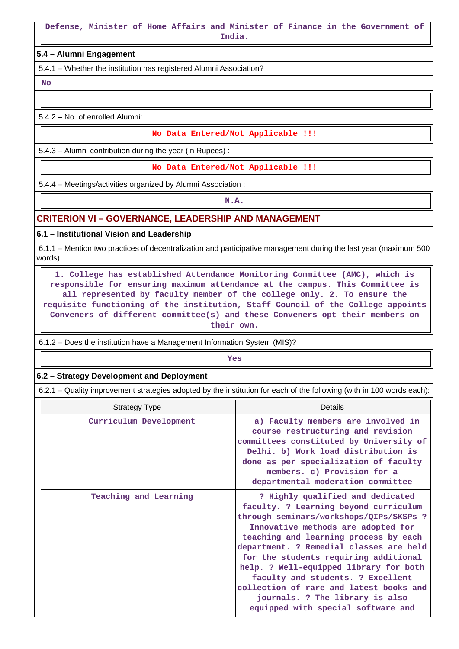**India.**

#### **5.4 – Alumni Engagement**

5.4.1 – Whether the institution has registered Alumni Association?

 **No**

5.4.2 – No. of enrolled Alumni:

**No Data Entered/Not Applicable !!!**

5.4.3 – Alumni contribution during the year (in Rupees) :

**No Data Entered/Not Applicable !!!**

5.4.4 – Meetings/activities organized by Alumni Association :

**N.A.**

## **CRITERION VI – GOVERNANCE, LEADERSHIP AND MANAGEMENT**

**6.1 – Institutional Vision and Leadership**

 6.1.1 – Mention two practices of decentralization and participative management during the last year (maximum 500 words)

 **1. College has established Attendance Monitoring Committee (AMC), which is responsible for ensuring maximum attendance at the campus. This Committee is all represented by faculty member of the college only. 2. To ensure the requisite functioning of the institution, Staff Council of the College appoints Conveners of different committee(s) and these Conveners opt their members on their own.**

6.1.2 – Does the institution have a Management Information System (MIS)?

*Yes* 

#### **6.2 – Strategy Development and Deployment**

6.2.1 – Quality improvement strategies adopted by the institution for each of the following (with in 100 words each):

| <b>Strategy Type</b>   | Details                                                                                                                                                                                                                                                                                                                                                                                                                                                                                    |
|------------------------|--------------------------------------------------------------------------------------------------------------------------------------------------------------------------------------------------------------------------------------------------------------------------------------------------------------------------------------------------------------------------------------------------------------------------------------------------------------------------------------------|
| Curriculum Development | a) Faculty members are involved in<br>course restructuring and revision<br>committees constituted by University of<br>Delhi. b) Work load distribution is<br>done as per specialization of faculty<br>members. c) Provision for a<br>departmental moderation committee                                                                                                                                                                                                                     |
| Teaching and Learning  | ? Highly qualified and dedicated<br>faculty. ? Learning beyond curriculum<br>through seminars/workshops/QIPs/SKSPs ?<br>Innovative methods are adopted for<br>teaching and learning process by each<br>department. ? Remedial classes are held<br>for the students requiring additional<br>help. ? Well-equipped library for both<br>faculty and students. ? Excellent<br>collection of rare and latest books and<br>journals. ? The library is also<br>equipped with special software and |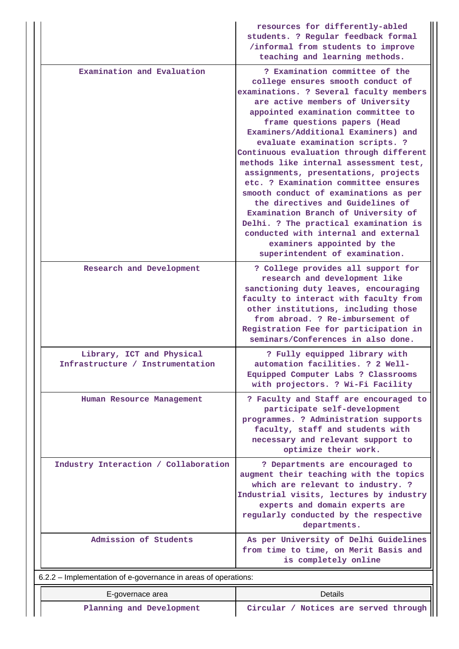|                                                                | resources for differently-abled<br>students. ? Regular feedback formal<br>/informal from students to improve                                                                                                                                                                                                                                                                                                                                                                                                                                                                                                                                                                                                                                 |
|----------------------------------------------------------------|----------------------------------------------------------------------------------------------------------------------------------------------------------------------------------------------------------------------------------------------------------------------------------------------------------------------------------------------------------------------------------------------------------------------------------------------------------------------------------------------------------------------------------------------------------------------------------------------------------------------------------------------------------------------------------------------------------------------------------------------|
|                                                                | teaching and learning methods.                                                                                                                                                                                                                                                                                                                                                                                                                                                                                                                                                                                                                                                                                                               |
| Examination and Evaluation                                     | ? Examination committee of the<br>college ensures smooth conduct of<br>examinations. ? Several faculty members<br>are active members of University<br>appointed examination committee to<br>frame questions papers (Head<br>Examiners/Additional Examiners) and<br>evaluate examination scripts. ?<br>Continuous evaluation through different<br>methods like internal assessment test,<br>assignments, presentations, projects<br>etc. ? Examination committee ensures<br>smooth conduct of examinations as per<br>the directives and Guidelines of<br>Examination Branch of University of<br>Delhi. ? The practical examination is<br>conducted with internal and external<br>examiners appointed by the<br>superintendent of examination. |
| Research and Development                                       | ? College provides all support for<br>research and development like<br>sanctioning duty leaves, encouraging<br>faculty to interact with faculty from<br>other institutions, including those<br>from abroad. ? Re-imbursement of<br>Registration Fee for participation in<br>seminars/Conferences in also done.                                                                                                                                                                                                                                                                                                                                                                                                                               |
| Library, ICT and Physical<br>Infrastructure / Instrumentation  | ? Fully equipped library with<br>automation facilities. ? 2 Well-<br>Equipped Computer Labs ? Classrooms<br>with projectors. ? Wi-Fi Facility                                                                                                                                                                                                                                                                                                                                                                                                                                                                                                                                                                                                |
| Human Resource Management                                      | ? Faculty and Staff are encouraged to<br>participate self-development<br>programmes. ? Administration supports<br>faculty, staff and students with<br>necessary and relevant support to<br>optimize their work.                                                                                                                                                                                                                                                                                                                                                                                                                                                                                                                              |
| Industry Interaction / Collaboration                           | ? Departments are encouraged to<br>augment their teaching with the topics<br>which are relevant to industry. ?<br>Industrial visits, lectures by industry<br>experts and domain experts are<br>regularly conducted by the respective<br>departments.                                                                                                                                                                                                                                                                                                                                                                                                                                                                                         |
| Admission of Students                                          | As per University of Delhi Guidelines<br>from time to time, on Merit Basis and<br>is completely online                                                                                                                                                                                                                                                                                                                                                                                                                                                                                                                                                                                                                                       |
| 6.2.2 - Implementation of e-governance in areas of operations: |                                                                                                                                                                                                                                                                                                                                                                                                                                                                                                                                                                                                                                                                                                                                              |
| E-governace area                                               | <b>Details</b>                                                                                                                                                                                                                                                                                                                                                                                                                                                                                                                                                                                                                                                                                                                               |

Planning and Development **Circular / Notices are served through**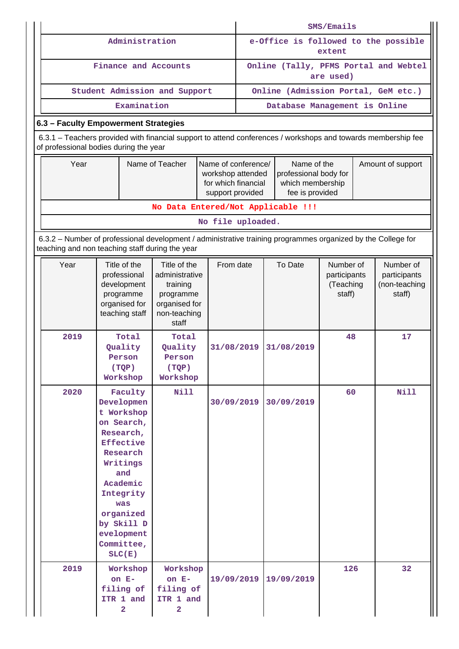|                                                                                                                                                                 |                                                                                                                                                                                                                    | SMS/Emails                                                                                                                                                         |            |                                                    |                                                |            |                                                  |  |                                                      |
|-----------------------------------------------------------------------------------------------------------------------------------------------------------------|--------------------------------------------------------------------------------------------------------------------------------------------------------------------------------------------------------------------|--------------------------------------------------------------------------------------------------------------------------------------------------------------------|------------|----------------------------------------------------|------------------------------------------------|------------|--------------------------------------------------|--|------------------------------------------------------|
|                                                                                                                                                                 | Administration                                                                                                                                                                                                     |                                                                                                                                                                    |            |                                                    | e-Office is followed to the possible<br>extent |            |                                                  |  |                                                      |
|                                                                                                                                                                 | Finance and Accounts                                                                                                                                                                                               |                                                                                                                                                                    |            | Online (Tally, PFMS Portal and Webtel<br>are used) |                                                |            |                                                  |  |                                                      |
|                                                                                                                                                                 | Student Admission and Support                                                                                                                                                                                      |                                                                                                                                                                    |            | Online (Admission Portal, GeM etc.)                |                                                |            |                                                  |  |                                                      |
|                                                                                                                                                                 | Examination                                                                                                                                                                                                        |                                                                                                                                                                    |            |                                                    |                                                |            | Database Management is Online                    |  |                                                      |
| 6.3 - Faculty Empowerment Strategies                                                                                                                            |                                                                                                                                                                                                                    |                                                                                                                                                                    |            |                                                    |                                                |            |                                                  |  |                                                      |
| 6.3.1 – Teachers provided with financial support to attend conferences / workshops and towards membership fee<br>of professional bodies during the year         |                                                                                                                                                                                                                    |                                                                                                                                                                    |            |                                                    |                                                |            |                                                  |  |                                                      |
| Year                                                                                                                                                            |                                                                                                                                                                                                                    | Name of conference/<br>Name of the<br>professional body for<br>workshop attended<br>for which financial<br>which membership<br>fee is provided<br>support provided |            |                                                    | Amount of support                              |            |                                                  |  |                                                      |
|                                                                                                                                                                 |                                                                                                                                                                                                                    | No Data Entered/Not Applicable !!!                                                                                                                                 |            |                                                    |                                                |            |                                                  |  |                                                      |
| No file uploaded.                                                                                                                                               |                                                                                                                                                                                                                    |                                                                                                                                                                    |            |                                                    |                                                |            |                                                  |  |                                                      |
| 6.3.2 - Number of professional development / administrative training programmes organized by the College for<br>teaching and non teaching staff during the year |                                                                                                                                                                                                                    |                                                                                                                                                                    |            |                                                    |                                                |            |                                                  |  |                                                      |
| Year                                                                                                                                                            | Title of the<br>Title of the<br>professional<br>administrative<br>development<br>training<br>programme<br>programme<br>organised for<br>organised for<br>teaching staff<br>non-teaching<br>staff                   |                                                                                                                                                                    | From date  |                                                    |                                                | To Date    | Number of<br>participants<br>(Teaching<br>staff) |  | Number of<br>participants<br>(non-teaching<br>staff) |
| 2019                                                                                                                                                            | Total<br>Quality<br>Person<br>(TQP)<br>Workshop                                                                                                                                                                    | Total<br>Quality<br>Person<br>(TQP)<br>Workshop                                                                                                                    | 31/08/2019 |                                                    |                                                | 31/08/2019 | 48                                               |  | 17                                                   |
| 2020                                                                                                                                                            | Faculty<br>Developmen<br>t Workshop<br>on Search,<br>Research,<br><b>Effective</b><br>Research<br>Writings<br>and<br>Academic<br>Integrity<br>was<br>organized<br>by Skill D<br>evelopment<br>Committee,<br>SLC(E) | <b>Nill</b>                                                                                                                                                        | 30/09/2019 |                                                    |                                                | 30/09/2019 | 60                                               |  | <b>Nill</b>                                          |
| 2019                                                                                                                                                            | Workshop<br>on $E-$<br>filing of<br>ITR 1 and<br>2                                                                                                                                                                 | Workshop<br>on $E-$<br>filing of<br>ITR 1 and<br>2                                                                                                                 | 19/09/2019 |                                                    |                                                | 19/09/2019 | 126                                              |  | 32                                                   |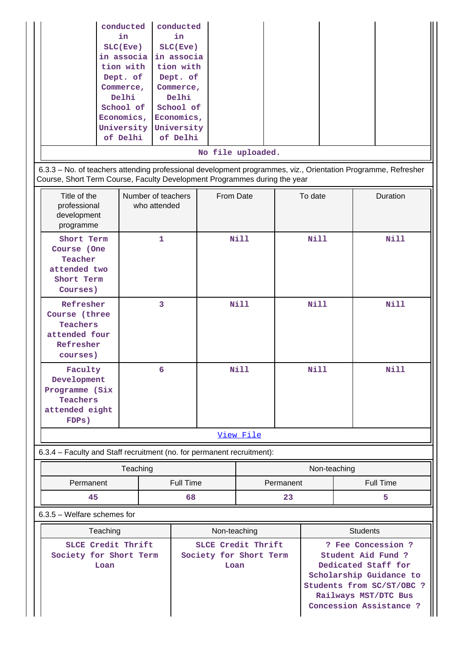| conducted  | conducted  |                   |  |  |
|------------|------------|-------------------|--|--|
| in.        | in.        |                   |  |  |
| SLC(Eve)   | SLC(Eve)   |                   |  |  |
| in associa | in associa |                   |  |  |
| tion with  | tion with  |                   |  |  |
| Dept. of   | Dept. of   |                   |  |  |
| Commerce,  | Commerce,  |                   |  |  |
| Delhi      | Delhi      |                   |  |  |
| School of  | School of  |                   |  |  |
| Economics, | Economics, |                   |  |  |
| University | University |                   |  |  |
| of Delhi   | of Delhi   |                   |  |  |
|            |            | No file uploaded. |  |  |

 6.3.3 – No. of teachers attending professional development programmes, viz., Orientation Programme, Refresher Course, Short Term Course, Faculty Development Programmes during the year

| Title of the<br>professional<br>development<br>programme                               | Number of teachers<br>who attended | From Date   | To date     | <b>Duration</b> |  |  |
|----------------------------------------------------------------------------------------|------------------------------------|-------------|-------------|-----------------|--|--|
| Short Term<br>Course (One<br>Teacher<br>attended two<br>Short Term<br>Courses)         | $\mathbf{1}$                       | <b>Nill</b> | Nill        | Nill            |  |  |
| Refresher<br>Course (three<br>Teachers<br>attended four<br>Refresher<br>courses)       | 3                                  | <b>Nill</b> | <b>Nill</b> | Nill            |  |  |
| Faculty<br>Development<br>Programme (Six<br><b>Teachers</b><br>attended eight<br>FDPs) | 6                                  | <b>Nill</b> | Nill        | <b>Nill</b>     |  |  |
| View File                                                                              |                                    |             |             |                 |  |  |

6.3.4 – Faculty and Staff recruitment (no. for permanent recruitment):

|                        | Teaching | Non-teaching |                  |
|------------------------|----------|--------------|------------------|
| Full Time<br>Permanent |          | Permanent    | <b>Full Time</b> |
| 45                     | 68       | 23           |                  |

6.3.5 – Welfare schemes for

| Teaching                                             | Non-teaching                                         | <b>Students</b>                                                                                                                                                            |
|------------------------------------------------------|------------------------------------------------------|----------------------------------------------------------------------------------------------------------------------------------------------------------------------------|
| SLCE Credit Thrift<br>Society for Short Term<br>Loan | SLCE Credit Thrift<br>Society for Short Term<br>Loan | ? Fee Concession ?<br>Student Aid Fund ?<br>Dedicated Staff for<br>Scholarship Guidance to<br>Students from SC/ST/OBC ?<br>Railways MST/DTC Bus<br>Concession Assistance ? |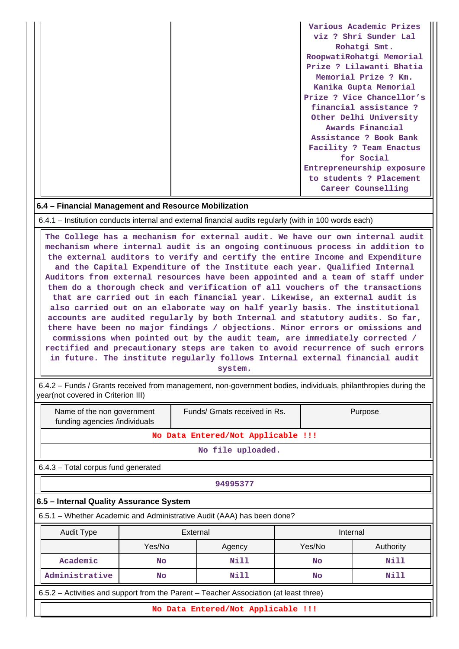|  | Various Academic Prizes   |
|--|---------------------------|
|  | viz ? Shri Sunder Lal     |
|  | Rohatgi Smt.              |
|  | RoopwatiRohatgi Memorial  |
|  | Prize ? Lilawanti Bhatia  |
|  | Memorial Prize ? Km.      |
|  | Kanika Gupta Memorial     |
|  | Prize ? Vice Chancellor's |
|  | financial assistance?     |
|  | Other Delhi University    |
|  | Awards Financial          |
|  | Assistance ? Book Bank    |
|  | Facility ? Team Enactus   |
|  | for Social                |
|  | Entrepreneurship exposure |
|  | to students ? Placement   |
|  | Career Counselling        |

#### **6.4 – Financial Management and Resource Mobilization**

6.4.1 – Institution conducts internal and external financial audits regularly (with in 100 words each)

 **The College has a mechanism for external audit. We have our own internal audit mechanism where internal audit is an ongoing continuous process in addition to the external auditors to verify and certify the entire Income and Expenditure and the Capital Expenditure of the Institute each year. Qualified Internal Auditors from external resources have been appointed and a team of staff under them do a thorough check and verification of all vouchers of the transactions that are carried out in each financial year. Likewise, an external audit is also carried out on an elaborate way on half yearly basis. The institutional accounts are audited regularly by both Internal and statutory audits. So far, there have been no major findings / objections. Minor errors or omissions and commissions when pointed out by the audit team, are immediately corrected / rectified and precautionary steps are taken to avoid recurrence of such errors in future. The institute regularly follows Internal external financial audit**

**system.**

 6.4.2 – Funds / Grants received from management, non-government bodies, individuals, philanthropies during the year(not covered in Criterion III)

| Name of the non government<br>funding agencies /individuals |                                                                                       |          | Funds/ Grnats received in Rs.                                          |  |           | Purpose   |  |
|-------------------------------------------------------------|---------------------------------------------------------------------------------------|----------|------------------------------------------------------------------------|--|-----------|-----------|--|
|                                                             |                                                                                       |          | No Data Entered/Not Applicable !!!                                     |  |           |           |  |
|                                                             | No file uploaded.                                                                     |          |                                                                        |  |           |           |  |
|                                                             | 6.4.3 - Total corpus fund generated                                                   |          |                                                                        |  |           |           |  |
|                                                             | 94995377                                                                              |          |                                                                        |  |           |           |  |
| 6.5 - Internal Quality Assurance System                     |                                                                                       |          |                                                                        |  |           |           |  |
|                                                             |                                                                                       |          | 6.5.1 – Whether Academic and Administrative Audit (AAA) has been done? |  |           |           |  |
| <b>Audit Type</b>                                           |                                                                                       | External |                                                                        |  | Internal  |           |  |
|                                                             | Yes/No                                                                                |          | Agency                                                                 |  | Yes/No    | Authority |  |
| Academic                                                    | <b>No</b>                                                                             |          | Nill                                                                   |  | <b>No</b> | Nill      |  |
| Administrative                                              | Nill<br>Nill<br><b>No</b><br>No                                                       |          |                                                                        |  |           |           |  |
|                                                             | 6.5.2 – Activities and support from the Parent – Teacher Association (at least three) |          |                                                                        |  |           |           |  |
|                                                             |                                                                                       |          | No Data Entered/Not Applicable !!!                                     |  |           |           |  |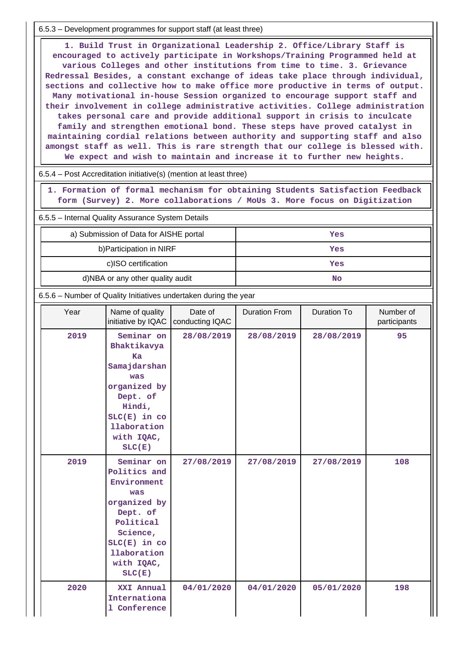6.5.3 – Development programmes for support staff (at least three)

 **1. Build Trust in Organizational Leadership 2. Office/Library Staff is encouraged to actively participate in Workshops/Training Programmed held at various Colleges and other institutions from time to time. 3. Grievance Redressal Besides, a constant exchange of ideas take place through individual, sections and collective how to make office more productive in terms of output. Many motivational in-house Session organized to encourage support staff and their involvement in college administrative activities. College administration takes personal care and provide additional support in crisis to inculcate family and strengthen emotional bond. These steps have proved catalyst in maintaining cordial relations between authority and supporting staff and also amongst staff as well. This is rare strength that our college is blessed with. We expect and wish to maintain and increase it to further new heights.**

|  |  | $6.5.4$ – Post Accreditation initiative(s) (mention at least three) |  |  |  |
|--|--|---------------------------------------------------------------------|--|--|--|
|--|--|---------------------------------------------------------------------|--|--|--|

 **1. Formation of formal mechanism for obtaining Students Satisfaction Feedback form (Survey) 2. More collaborations / MoUs 3. More focus on Digitization**

6.5.5 – Internal Quality Assurance System Details

| a) Submission of Data for AISHE portal | Yes |
|----------------------------------------|-----|
| b) Participation in NIRF               | Yes |
| c)ISO certification                    | Yes |
| d)NBA or any other quality audit       | No  |

6.5.6 – Number of Quality Initiatives undertaken during the year

| Year | Name of quality<br>initiative by IQAC                                                                                                                            | Date of<br>conducting IQAC | <b>Duration From</b> | Duration To | Number of<br>participants |
|------|------------------------------------------------------------------------------------------------------------------------------------------------------------------|----------------------------|----------------------|-------------|---------------------------|
| 2019 | Seminar on<br>Bhaktikavya<br>Ka<br>Samajdarshan<br>was<br>organized by<br>Dept. of<br>Hindi,<br>$SLC(E)$ in $co$<br>llaboration<br>with IQAC,<br>SLC(E)          | 28/08/2019                 | 28/08/2019           | 28/08/2019  | 95                        |
| 2019 | Seminar on<br>Politics and<br>Environment<br>was<br>organized by<br>Dept. of<br>Political<br>Science,<br>$SLC(E)$ in $co$<br>llaboration<br>with IQAC,<br>SLC(E) | 27/08/2019                 | 27/08/2019           | 27/08/2019  | 108                       |
| 2020 | XXI Annual<br>Internationa<br>1 Conference                                                                                                                       | 04/01/2020                 | 04/01/2020           | 05/01/2020  | 198                       |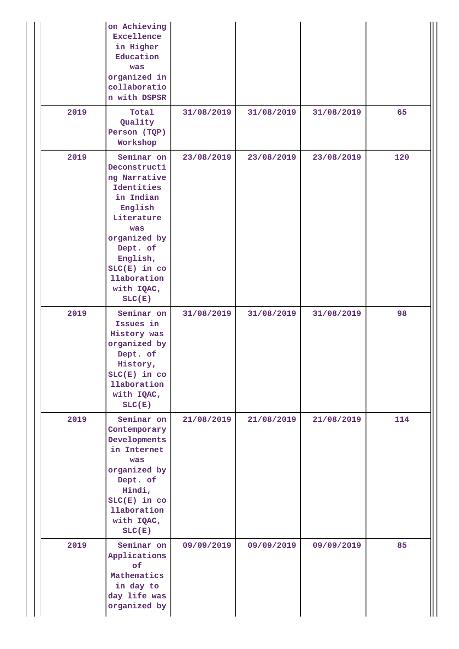|      | on Achieving<br>Excellence<br>in Higher<br>Education<br>was<br>organized in<br>collaboratio<br>n with DSPSR                                                                                                     |            |            |            |     |
|------|-----------------------------------------------------------------------------------------------------------------------------------------------------------------------------------------------------------------|------------|------------|------------|-----|
| 2019 | Total<br>Quality<br>Person (TQP)<br>Workshop                                                                                                                                                                    | 31/08/2019 | 31/08/2019 | 31/08/2019 | 65  |
| 2019 | Seminar on<br>Deconstructi<br>ng Narrative<br>Identities<br>in Indian<br>English<br>Literature<br>was<br>organized by<br>Dept. of<br>English,<br>$SLC(E)$ in $co$<br><b>llaboration</b><br>with IQAC,<br>SLC(E) | 23/08/2019 | 23/08/2019 | 23/08/2019 | 120 |
| 2019 | Seminar on<br>Issues in<br>History was<br>organized by<br>Dept. of<br>History,<br>$SLC(E)$ in $co$<br>llaboration<br>with IQAC,<br>SLC(E)                                                                       | 31/08/2019 | 31/08/2019 | 31/08/2019 | 98  |
| 2019 | Seminar on<br>Contemporary<br>Developments<br>in Internet<br>was<br>organized by<br>Dept. of<br>Hindi,<br>$SLC(E)$ in $co$<br>llaboration<br>with IQAC,<br>SLC(E)                                               | 21/08/2019 | 21/08/2019 | 21/08/2019 | 114 |
| 2019 | Seminar on<br>Applications<br>of<br>Mathematics<br>in day to<br>day life was<br>organized by                                                                                                                    | 09/09/2019 | 09/09/2019 | 09/09/2019 | 85  |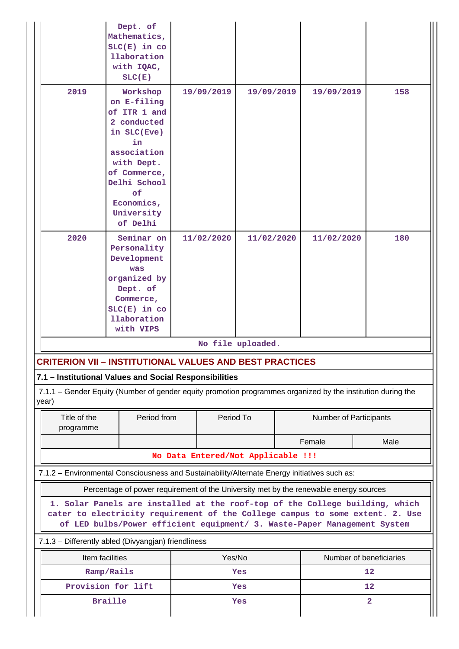|                                                                                                                                                                                                                                           | Dept. of<br>Mathematics,<br>$SLC(E)$ in $co$<br><b>llaboration</b><br>with IQAC,<br>SLC(E) |     |                          |            |                |            |      |  |
|-------------------------------------------------------------------------------------------------------------------------------------------------------------------------------------------------------------------------------------------|--------------------------------------------------------------------------------------------|-----|--------------------------|------------|----------------|------------|------|--|
| 2019                                                                                                                                                                                                                                      | Workshop<br>on E-filing<br>of ITR 1 and<br>2 conducted<br>in SLC(Eve)<br>in<br>association |     | 19/09/2019               | 19/09/2019 |                | 19/09/2019 | 158  |  |
|                                                                                                                                                                                                                                           | with Dept.<br>of Commerce,<br>Delhi School<br>of<br>Economics,<br>University<br>of Delhi   |     |                          |            |                |            |      |  |
| 2020                                                                                                                                                                                                                                      | Seminar on<br>Personality<br>Development                                                   |     | 11/02/2020<br>11/02/2020 |            | 11/02/2020     | 180        |      |  |
|                                                                                                                                                                                                                                           | was                                                                                        |     |                          |            |                |            |      |  |
|                                                                                                                                                                                                                                           | organized by<br>Dept. of                                                                   |     |                          |            |                |            |      |  |
|                                                                                                                                                                                                                                           | Commerce,                                                                                  |     |                          |            |                |            |      |  |
|                                                                                                                                                                                                                                           | $SLC(E)$ in $co$<br>llaboration                                                            |     |                          |            |                |            |      |  |
|                                                                                                                                                                                                                                           | with VIPS                                                                                  |     |                          |            |                |            |      |  |
|                                                                                                                                                                                                                                           | No file uploaded.                                                                          |     |                          |            |                |            |      |  |
| <b>CRITERION VII - INSTITUTIONAL VALUES AND BEST PRACTICES</b>                                                                                                                                                                            |                                                                                            |     |                          |            |                |            |      |  |
| 7.1 - Institutional Values and Social Responsibilities                                                                                                                                                                                    |                                                                                            |     |                          |            |                |            |      |  |
| 7.1.1 – Gender Equity (Number of gender equity promotion programmes organized by the institution during the<br>year)                                                                                                                      |                                                                                            |     |                          |            |                |            |      |  |
| Period To<br>Title of the<br>Period from<br>programme                                                                                                                                                                                     |                                                                                            |     | Number of Participants   |            |                |            |      |  |
|                                                                                                                                                                                                                                           |                                                                                            |     |                          |            |                | Female     | Male |  |
| No Data Entered/Not Applicable !!!                                                                                                                                                                                                        |                                                                                            |     |                          |            |                |            |      |  |
| 7.1.2 - Environmental Consciousness and Sustainability/Alternate Energy initiatives such as:                                                                                                                                              |                                                                                            |     |                          |            |                |            |      |  |
| Percentage of power requirement of the University met by the renewable energy sources                                                                                                                                                     |                                                                                            |     |                          |            |                |            |      |  |
| 1. Solar Panels are installed at the roof-top of the College building, which<br>cater to electricity requirement of the College campus to some extent. 2. Use<br>of LED bulbs/Power efficient equipment/ 3. Waste-Paper Management System |                                                                                            |     |                          |            |                |            |      |  |
| 7.1.3 - Differently abled (Divyangjan) friendliness                                                                                                                                                                                       |                                                                                            |     |                          |            |                |            |      |  |
| Item facilities<br>Yes/No<br>Number of beneficiaries                                                                                                                                                                                      |                                                                                            |     |                          |            |                |            |      |  |
| Ramp/Rails                                                                                                                                                                                                                                |                                                                                            | Yes |                          |            |                | 12         |      |  |
| Provision for lift                                                                                                                                                                                                                        |                                                                                            | Yes |                          |            |                | 12         |      |  |
| <b>Braille</b>                                                                                                                                                                                                                            | Yes                                                                                        |     |                          |            | $\overline{a}$ |            |      |  |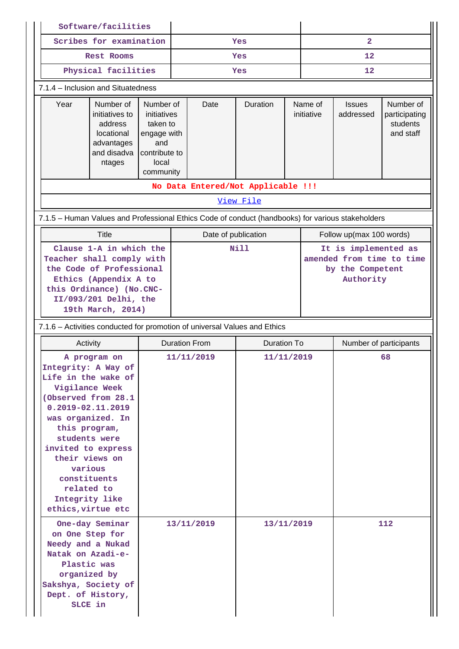|                                    | Software/facilities                                                                                                                                                                                                                                                                                          |                                                                                                   |                      |             |                                    |                          |                                                                                    |                            |                                                     |  |
|------------------------------------|--------------------------------------------------------------------------------------------------------------------------------------------------------------------------------------------------------------------------------------------------------------------------------------------------------------|---------------------------------------------------------------------------------------------------|----------------------|-------------|------------------------------------|--------------------------|------------------------------------------------------------------------------------|----------------------------|-----------------------------------------------------|--|
|                                    | Scribes for examination                                                                                                                                                                                                                                                                                      |                                                                                                   |                      | Yes         |                                    |                          | $\overline{\mathbf{2}}$                                                            |                            |                                                     |  |
| <b>Rest Rooms</b>                  |                                                                                                                                                                                                                                                                                                              |                                                                                                   | Yes                  |             |                                    | $12 \overline{ }$        |                                                                                    |                            |                                                     |  |
|                                    | Physical facilities                                                                                                                                                                                                                                                                                          |                                                                                                   |                      |             | Yes                                |                          |                                                                                    | 12                         |                                                     |  |
| 7.1.4 - Inclusion and Situatedness |                                                                                                                                                                                                                                                                                                              |                                                                                                   |                      |             |                                    |                          |                                                                                    |                            |                                                     |  |
| Year                               | Number of<br>initiatives to<br>address<br>locational<br>advantages<br>and disadva<br>ntages                                                                                                                                                                                                                  | Number of<br>initiatives<br>taken to<br>engage with<br>and<br>contribute to<br>local<br>community |                      | Date        | Duration                           |                          | Name of<br>initiative                                                              | <b>Issues</b><br>addressed | Number of<br>participating<br>students<br>and staff |  |
|                                    |                                                                                                                                                                                                                                                                                                              |                                                                                                   |                      |             | No Data Entered/Not Applicable !!! |                          |                                                                                    |                            |                                                     |  |
|                                    |                                                                                                                                                                                                                                                                                                              |                                                                                                   |                      |             | View File                          |                          |                                                                                    |                            |                                                     |  |
|                                    | 7.1.5 - Human Values and Professional Ethics Code of conduct (handbooks) for various stakeholders                                                                                                                                                                                                            |                                                                                                   |                      |             |                                    |                          |                                                                                    |                            |                                                     |  |
|                                    | <b>Title</b>                                                                                                                                                                                                                                                                                                 |                                                                                                   | Date of publication  |             |                                    | Follow up(max 100 words) |                                                                                    |                            |                                                     |  |
|                                    | Clause 1-A in which the<br>Teacher shall comply with<br>the Code of Professional<br>Ethics (Appendix A to<br>this Ordinance) (No.CNC-<br>II/093/201 Delhi, the<br>19th March, 2014)                                                                                                                          |                                                                                                   |                      | <b>Nill</b> |                                    |                          | It is implemented as<br>amended from time to time<br>by the Competent<br>Authority |                            |                                                     |  |
|                                    | 7.1.6 - Activities conducted for promotion of universal Values and Ethics                                                                                                                                                                                                                                    |                                                                                                   |                      |             |                                    |                          |                                                                                    |                            |                                                     |  |
|                                    | Activity                                                                                                                                                                                                                                                                                                     |                                                                                                   | <b>Duration From</b> |             | <b>Duration To</b>                 |                          |                                                                                    |                            | Number of participants                              |  |
|                                    | A program on<br>Integrity: A Way of<br>Life in the wake of<br>Vigilance Week<br>(Observed from 28.1<br>$0.2019 - 02.11.2019$<br>was organized. In<br>this program,<br>students were<br>invited to express<br>their views on<br>various<br>constituents<br>related to<br>Integrity like<br>ethics, virtue etc |                                                                                                   | 11/11/2019           |             | 11/11/2019                         |                          |                                                                                    |                            | 68                                                  |  |
|                                    | One-day Seminar<br>on One Step for<br>Needy and a Nukad<br>Natak on Azadi-e-<br>Plastic was<br>organized by<br>Sakshya, Society of<br>Dept. of History,<br>SLCE in                                                                                                                                           | 13/11/2019                                                                                        |                      |             | 13/11/2019                         |                          |                                                                                    |                            | 112                                                 |  |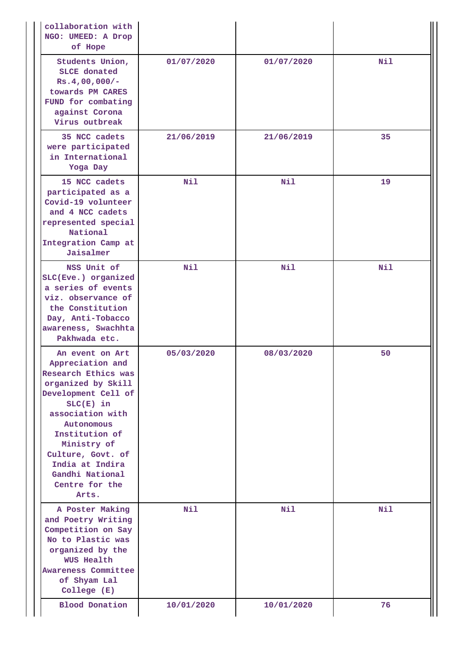| collaboration with<br>NGO: UMEED: A Drop<br>of Hope                                                                                                                                                                                                                             |            |            |     |
|---------------------------------------------------------------------------------------------------------------------------------------------------------------------------------------------------------------------------------------------------------------------------------|------------|------------|-----|
| Students Union,<br><b>SLCE</b> donated<br>$Rs.4,00,000/-$<br>towards PM CARES<br>FUND for combating<br>against Corona<br>Virus outbreak                                                                                                                                         | 01/07/2020 | 01/07/2020 | Nil |
| 35 NCC cadets<br>were participated<br>in International<br>Yoga Day                                                                                                                                                                                                              | 21/06/2019 | 21/06/2019 | 35  |
| 15 NCC cadets<br>participated as a<br>Covid-19 volunteer<br>and 4 NCC cadets<br>represented special<br>National<br>Integration Camp at<br>Jaisalmer                                                                                                                             | Nil        | Nil        | 19  |
| NSS Unit of<br>SLC(Eve.) organized<br>a series of events<br>viz. observance of<br>the Constitution<br>Day, Anti-Tobacco<br>awareness, Swachhta<br>Pakhwada etc.                                                                                                                 | Nil        | Nil        | Nil |
| An event on Art<br>Appreciation and<br>Research Ethics was<br>organized by Skill<br>Development Cell of<br>$SLC(E)$ in<br>association with<br>Autonomous<br>Institution of<br>Ministry of<br>Culture, Govt. of<br>India at Indira<br>Gandhi National<br>Centre for the<br>Arts. | 05/03/2020 | 08/03/2020 | 50  |
| A Poster Making<br>and Poetry Writing<br>Competition on Say<br>No to Plastic was<br>organized by the<br><b>WUS Health</b><br>Awareness Committee<br>of Shyam Lal<br>College (E)                                                                                                 | Nil        | Nil        | Nil |
| <b>Blood Donation</b>                                                                                                                                                                                                                                                           | 10/01/2020 | 10/01/2020 | 76  |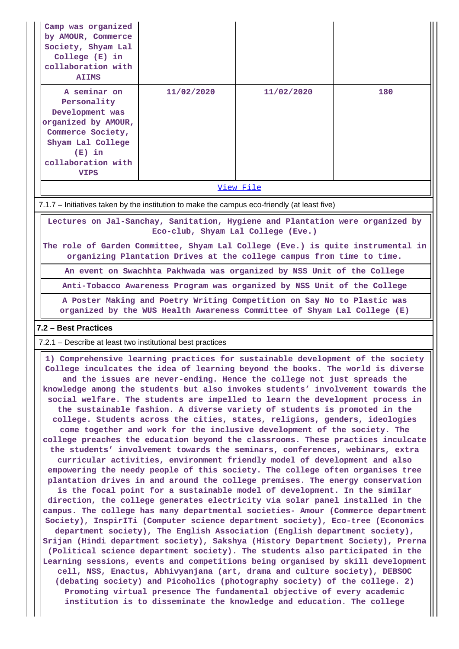| Camp was organized<br>by AMOUR, Commerce<br>Society, Shyam Lal<br>College (E) in<br>collaboration with<br><b>AIIMS</b>                                                                                                                                                                                                                                                                                                                                                                                                                                                                                                                                                                                                                                                                                                                                                                                                                                                                                                                                                                                                                                                                                                                                                                                                                                                                                                                                                                                                                                                                                                                                         |                                                                                                                                                          |            |     |  |  |  |  |  |
|----------------------------------------------------------------------------------------------------------------------------------------------------------------------------------------------------------------------------------------------------------------------------------------------------------------------------------------------------------------------------------------------------------------------------------------------------------------------------------------------------------------------------------------------------------------------------------------------------------------------------------------------------------------------------------------------------------------------------------------------------------------------------------------------------------------------------------------------------------------------------------------------------------------------------------------------------------------------------------------------------------------------------------------------------------------------------------------------------------------------------------------------------------------------------------------------------------------------------------------------------------------------------------------------------------------------------------------------------------------------------------------------------------------------------------------------------------------------------------------------------------------------------------------------------------------------------------------------------------------------------------------------------------------|----------------------------------------------------------------------------------------------------------------------------------------------------------|------------|-----|--|--|--|--|--|
| A seminar on<br>Personality<br>Development was<br>organized by AMOUR,<br>Commerce Society,<br>Shyam Lal College<br>$(E)$ in<br>collaboration with<br><b>VIPS</b>                                                                                                                                                                                                                                                                                                                                                                                                                                                                                                                                                                                                                                                                                                                                                                                                                                                                                                                                                                                                                                                                                                                                                                                                                                                                                                                                                                                                                                                                                               | 11/02/2020                                                                                                                                               | 11/02/2020 | 180 |  |  |  |  |  |
|                                                                                                                                                                                                                                                                                                                                                                                                                                                                                                                                                                                                                                                                                                                                                                                                                                                                                                                                                                                                                                                                                                                                                                                                                                                                                                                                                                                                                                                                                                                                                                                                                                                                |                                                                                                                                                          | View File  |     |  |  |  |  |  |
| 7.1.7 – Initiatives taken by the institution to make the campus eco-friendly (at least five)                                                                                                                                                                                                                                                                                                                                                                                                                                                                                                                                                                                                                                                                                                                                                                                                                                                                                                                                                                                                                                                                                                                                                                                                                                                                                                                                                                                                                                                                                                                                                                   |                                                                                                                                                          |            |     |  |  |  |  |  |
|                                                                                                                                                                                                                                                                                                                                                                                                                                                                                                                                                                                                                                                                                                                                                                                                                                                                                                                                                                                                                                                                                                                                                                                                                                                                                                                                                                                                                                                                                                                                                                                                                                                                | Lectures on Jal-Sanchay, Sanitation, Hygiene and Plantation were organized by<br>Eco-club, Shyam Lal College (Eve.)                                      |            |     |  |  |  |  |  |
|                                                                                                                                                                                                                                                                                                                                                                                                                                                                                                                                                                                                                                                                                                                                                                                                                                                                                                                                                                                                                                                                                                                                                                                                                                                                                                                                                                                                                                                                                                                                                                                                                                                                | The role of Garden Committee, Shyam Lal College (Eve.) is quite instrumental in<br>organizing Plantation Drives at the college campus from time to time. |            |     |  |  |  |  |  |
|                                                                                                                                                                                                                                                                                                                                                                                                                                                                                                                                                                                                                                                                                                                                                                                                                                                                                                                                                                                                                                                                                                                                                                                                                                                                                                                                                                                                                                                                                                                                                                                                                                                                | An event on Swachhta Pakhwada was organized by NSS Unit of the College                                                                                   |            |     |  |  |  |  |  |
|                                                                                                                                                                                                                                                                                                                                                                                                                                                                                                                                                                                                                                                                                                                                                                                                                                                                                                                                                                                                                                                                                                                                                                                                                                                                                                                                                                                                                                                                                                                                                                                                                                                                | Anti-Tobacco Awareness Program was organized by NSS Unit of the College                                                                                  |            |     |  |  |  |  |  |
| A Poster Making and Poetry Writing Competition on Say No to Plastic was<br>organized by the WUS Health Awareness Committee of Shyam Lal College (E)                                                                                                                                                                                                                                                                                                                                                                                                                                                                                                                                                                                                                                                                                                                                                                                                                                                                                                                                                                                                                                                                                                                                                                                                                                                                                                                                                                                                                                                                                                            |                                                                                                                                                          |            |     |  |  |  |  |  |
| 7.2 - Best Practices                                                                                                                                                                                                                                                                                                                                                                                                                                                                                                                                                                                                                                                                                                                                                                                                                                                                                                                                                                                                                                                                                                                                                                                                                                                                                                                                                                                                                                                                                                                                                                                                                                           |                                                                                                                                                          |            |     |  |  |  |  |  |
| 7.2.1 – Describe at least two institutional best practices                                                                                                                                                                                                                                                                                                                                                                                                                                                                                                                                                                                                                                                                                                                                                                                                                                                                                                                                                                                                                                                                                                                                                                                                                                                                                                                                                                                                                                                                                                                                                                                                     |                                                                                                                                                          |            |     |  |  |  |  |  |
| 1) Comprehensive learning practices for sustainable development of the society<br>College inculcates the idea of learning beyond the books. The world is diverse<br>and the issues are never-ending. Hence the college not just spreads the<br>knowledge among the students but also invokes students' involvement towards the<br>social welfare. The students are impelled to learn the development process in<br>the sustainable fashion. A diverse variety of students is promoted in the<br>college. Students across the cities, states, religions, genders, ideologies<br>come together and work for the inclusive development of the society. The<br>college preaches the education beyond the classrooms. These practices inculcate<br>the students' involvement towards the seminars, conferences, webinars, extra<br>curricular activities, environment friendly model of development and also<br>empowering the needy people of this society. The college often organises tree<br>plantation drives in and around the college premises. The energy conservation<br>is the focal point for a sustainable model of development. In the similar<br>direction, the college generates electricity via solar panel installed in the<br>campus. The college has many departmental societies- Amour (Commerce department<br>Society), InspirITi (Computer science department society), Eco-tree (Economics<br>department society), The English Association (English department society),<br>Srijan (Hindi department society), Sakshya (History Department Society), Prerna<br>(Political science department society). The students also participated in the |                                                                                                                                                          |            |     |  |  |  |  |  |
| Learning sessions, events and competitions being organised by skill development                                                                                                                                                                                                                                                                                                                                                                                                                                                                                                                                                                                                                                                                                                                                                                                                                                                                                                                                                                                                                                                                                                                                                                                                                                                                                                                                                                                                                                                                                                                                                                                |                                                                                                                                                          |            |     |  |  |  |  |  |

**cell, NSS, Enactus, Abhivyanjana (art, drama and culture society), DEBSOC (debating society) and Picoholics (photography society) of the college. 2) Promoting virtual presence The fundamental objective of every academic institution is to disseminate the knowledge and education. The college**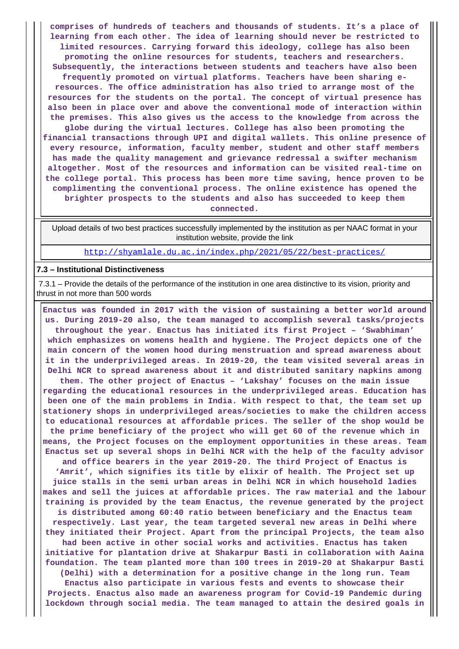**comprises of hundreds of teachers and thousands of students. It's a place of learning from each other. The idea of learning should never be restricted to limited resources. Carrying forward this ideology, college has also been promoting the online resources for students, teachers and researchers. Subsequently, the interactions between students and teachers have also been frequently promoted on virtual platforms. Teachers have been sharing eresources. The office administration has also tried to arrange most of the resources for the students on the portal. The concept of virtual presence has also been in place over and above the conventional mode of interaction within the premises. This also gives us the access to the knowledge from across the globe during the virtual lectures. College has also been promoting the financial transactions through UPI and digital wallets. This online presence of every resource, information, faculty member, student and other staff members has made the quality management and grievance redressal a swifter mechanism altogether. Most of the resources and information can be visited real-time on the college portal. This process has been more time saving, hence proven to be complimenting the conventional process. The online existence has opened the brighter prospects to the students and also has succeeded to keep them connected.**

 Upload details of two best practices successfully implemented by the institution as per NAAC format in your institution website, provide the link

<http://shyamlale.du.ac.in/index.php/2021/05/22/best-practices/>

#### **7.3 – Institutional Distinctiveness**

 7.3.1 – Provide the details of the performance of the institution in one area distinctive to its vision, priority and thrust in not more than 500 words

 **Enactus was founded in 2017 with the vision of sustaining a better world around us. During 2019-20 also, the team managed to accomplish several tasks/projects throughout the year. Enactus has initiated its first Project – 'Swabhiman' which emphasizes on womens health and hygiene. The Project depicts one of the main concern of the women hood during menstruation and spread awareness about it in the underprivileged areas. In 2019-20, the team visited several areas in Delhi NCR to spread awareness about it and distributed sanitary napkins among them. The other project of Enactus – 'Lakshay' focuses on the main issue regarding the educational resources in the underprivileged areas. Education has been one of the main problems in India. With respect to that, the team set up stationery shops in underprivileged areas/societies to make the children access to educational resources at affordable prices. The seller of the shop would be the prime beneficiary of the project who will get 60 of the revenue which in means, the Project focuses on the employment opportunities in these areas. Team Enactus set up several shops in Delhi NCR with the help of the faculty advisor and office bearers in the year 2019-20. The third Project of Enactus is 'Amrit', which signifies its title by elixir of health. The Project set up juice stalls in the semi urban areas in Delhi NCR in which household ladies makes and sell the juices at affordable prices. The raw material and the labour training is provided by the team Enactus, the revenue generated by the project is distributed among 60:40 ratio between beneficiary and the Enactus team respectively. Last year, the team targeted several new areas in Delhi where they initiated their Project. Apart from the principal Projects, the team also had been active in other social works and activities. Enactus has taken initiative for plantation drive at Shakarpur Basti in collaboration with Aaina foundation. The team planted more than 100 trees in 2019-20 at Shakarpur Basti (Delhi) with a determination for a positive change in the long run. Team Enactus also participate in various fests and events to showcase their Projects. Enactus also made an awareness program for Covid-19 Pandemic during**

**lockdown through social media. The team managed to attain the desired goals in**